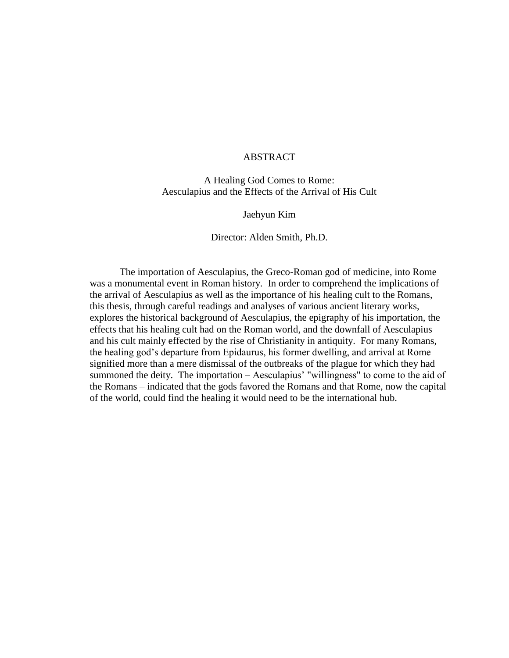#### ABSTRACT

A Healing God Comes to Rome: Aesculapius and the Effects of the Arrival of His Cult

Jaehyun Kim

Director: Alden Smith, Ph.D.

The importation of Aesculapius, the Greco-Roman god of medicine, into Rome was a monumental event in Roman history. In order to comprehend the implications of the arrival of Aesculapius as well as the importance of his healing cult to the Romans, this thesis, through careful readings and analyses of various ancient literary works, explores the historical background of Aesculapius, the epigraphy of his importation, the effects that his healing cult had on the Roman world, and the downfall of Aesculapius and his cult mainly effected by the rise of Christianity in antiquity. For many Romans, the healing god"s departure from Epidaurus, his former dwelling, and arrival at Rome signified more than a mere dismissal of the outbreaks of the plague for which they had summoned the deity. The importation – Aesculapius' "willingness" to come to the aid of the Romans – indicated that the gods favored the Romans and that Rome, now the capital of the world, could find the healing it would need to be the international hub.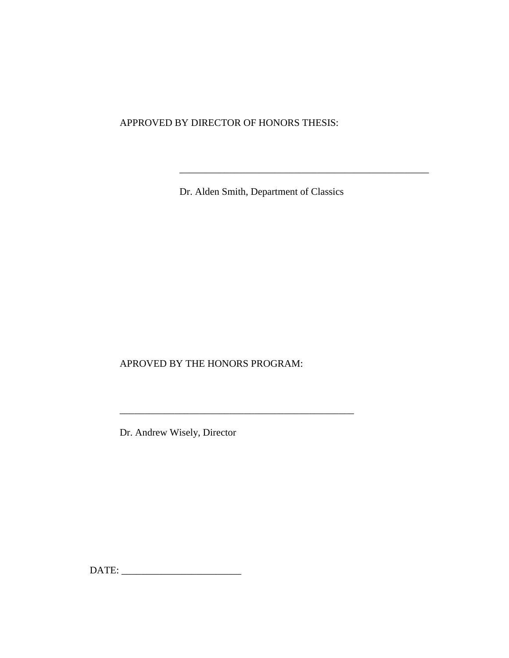APPROVED BY DIRECTOR OF HONORS THESIS:

Dr. Alden Smith, Department of Classics

\_\_\_\_\_\_\_\_\_\_\_\_\_\_\_\_\_\_\_\_\_\_\_\_\_\_\_\_\_\_\_\_\_\_\_\_\_\_\_\_\_\_\_\_\_\_\_\_\_\_

APROVED BY THE HONORS PROGRAM:

Dr. Andrew Wisely, Director

DATE: \_\_\_\_\_\_\_\_\_\_\_\_\_\_\_\_\_\_\_\_\_\_\_\_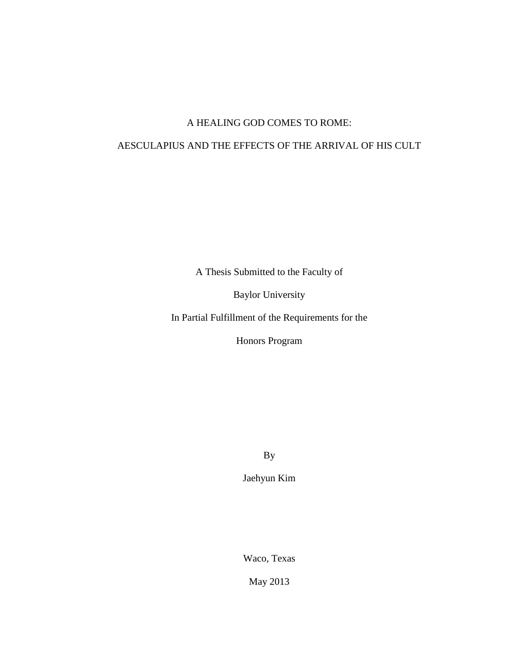## A HEALING GOD COMES TO ROME:

## AESCULAPIUS AND THE EFFECTS OF THE ARRIVAL OF HIS CULT

A Thesis Submitted to the Faculty of

Baylor University

In Partial Fulfillment of the Requirements for the

Honors Program

By

Jaehyun Kim

Waco, Texas

May 2013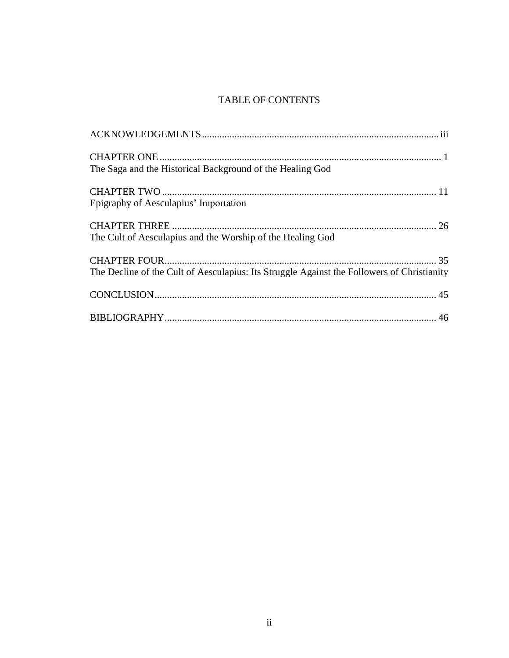# TABLE OF CONTENTS

| The Saga and the Historical Background of the Healing God                                  |
|--------------------------------------------------------------------------------------------|
| Epigraphy of Aesculapius' Importation                                                      |
| The Cult of Aesculapius and the Worship of the Healing God                                 |
| The Decline of the Cult of Aesculapius: Its Struggle Against the Followers of Christianity |
|                                                                                            |
|                                                                                            |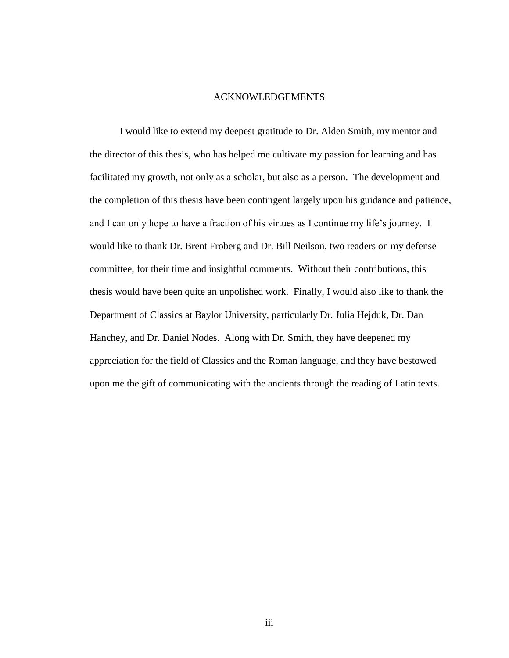#### ACKNOWLEDGEMENTS

I would like to extend my deepest gratitude to Dr. Alden Smith, my mentor and the director of this thesis, who has helped me cultivate my passion for learning and has facilitated my growth, not only as a scholar, but also as a person. The development and the completion of this thesis have been contingent largely upon his guidance and patience, and I can only hope to have a fraction of his virtues as I continue my life's journey. I would like to thank Dr. Brent Froberg and Dr. Bill Neilson, two readers on my defense committee, for their time and insightful comments. Without their contributions, this thesis would have been quite an unpolished work. Finally, I would also like to thank the Department of Classics at Baylor University, particularly Dr. Julia Hejduk, Dr. Dan Hanchey, and Dr. Daniel Nodes. Along with Dr. Smith, they have deepened my appreciation for the field of Classics and the Roman language, and they have bestowed upon me the gift of communicating with the ancients through the reading of Latin texts.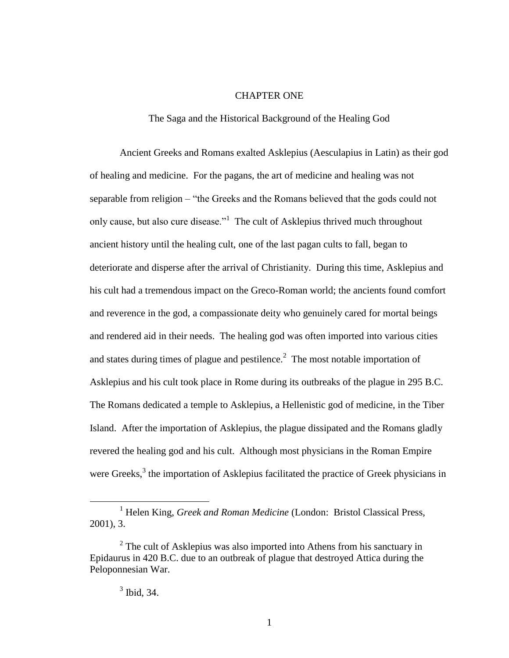#### CHAPTER ONE

The Saga and the Historical Background of the Healing God

Ancient Greeks and Romans exalted Asklepius (Aesculapius in Latin) as their god of healing and medicine. For the pagans, the art of medicine and healing was not separable from religion – "the Greeks and the Romans believed that the gods could not only cause, but also cure disease."<sup>1</sup> The cult of Asklepius thrived much throughout ancient history until the healing cult, one of the last pagan cults to fall, began to deteriorate and disperse after the arrival of Christianity. During this time, Asklepius and his cult had a tremendous impact on the Greco-Roman world; the ancients found comfort and reverence in the god, a compassionate deity who genuinely cared for mortal beings and rendered aid in their needs. The healing god was often imported into various cities and states during times of plague and pestilence. $2$  The most notable importation of Asklepius and his cult took place in Rome during its outbreaks of the plague in 295 B.C. The Romans dedicated a temple to Asklepius, a Hellenistic god of medicine, in the Tiber Island. After the importation of Asklepius, the plague dissipated and the Romans gladly revered the healing god and his cult. Although most physicians in the Roman Empire were Greeks, $3$  the importation of Asklepius facilitated the practice of Greek physicians in

<sup>&</sup>lt;sup>1</sup> Helen King, *Greek and Roman Medicine* (London: Bristol Classical Press, 2001), 3.

 $2<sup>2</sup>$  The cult of Asklepius was also imported into Athens from his sanctuary in Epidaurus in 420 B.C. due to an outbreak of plague that destroyed Attica during the Peloponnesian War.

 $3$  Ibid, 34.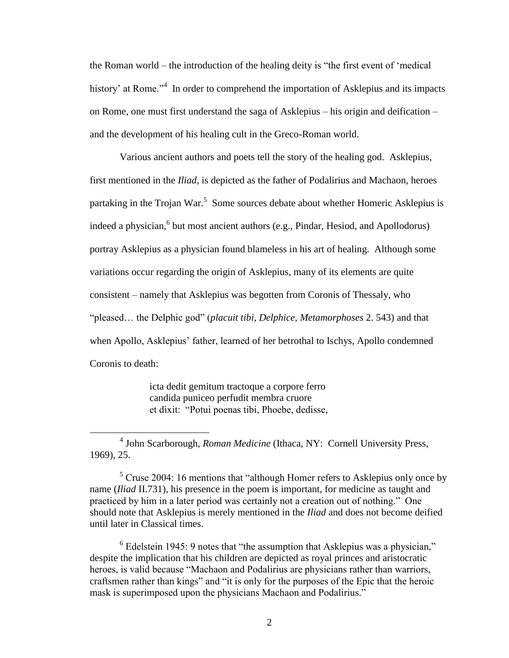the Roman world – the introduction of the healing deity is "the first event of "medical history' at Rome."<sup>4</sup> In order to comprehend the importation of Asklepius and its impacts on Rome, one must first understand the saga of Asklepius – his origin and deification – and the development of his healing cult in the Greco-Roman world.

Various ancient authors and poets tell the story of the healing god. Asklepius, first mentioned in the *Iliad*, is depicted as the father of Podalirius and Machaon, heroes partaking in the Trojan War.<sup>5</sup> Some sources debate about whether Homeric Asklepius is indeed a physician, <sup>6</sup> but most ancient authors (e.g., Pindar, Hesiod, and Apollodorus) portray Asklepius as a physician found blameless in his art of healing. Although some variations occur regarding the origin of Asklepius, many of its elements are quite consistent – namely that Asklepius was begotten from Coronis of Thessaly, who "pleased… the Delphic god" (*placuit tibi, Delphice, Metamorphoses* 2. 543) and that when Apollo, Asklepius" father, learned of her betrothal to Ischys, Apollo condemned Coronis to death:

> icta dedit gemitum tractoque a corpore ferro candida puniceo perfudit membra cruore et dixit: "Potui poenas tibi, Phoebe, dedisse,

 $\overline{a}$ 

4 John Scarborough, *Roman Medicine* (Ithaca, NY: Cornell University Press, 1969), 25.

 $5$  Cruse 2004: 16 mentions that "although Homer refers to Asklepius only once by name (*Iliad* II.731), his presence in the poem is important, for medicine as taught and practiced by him in a later period was certainly not a creation out of nothing." One should note that Asklepius is merely mentioned in the *Iliad* and does not become deified until later in Classical times.

 $6$  Edelstein 1945: 9 notes that "the assumption that Asklepius was a physician," despite the implication that his children are depicted as royal princes and aristocratic heroes, is valid because "Machaon and Podalirius are physicians rather than warriors, craftsmen rather than kings" and "it is only for the purposes of the Epic that the heroic mask is superimposed upon the physicians Machaon and Podalirius."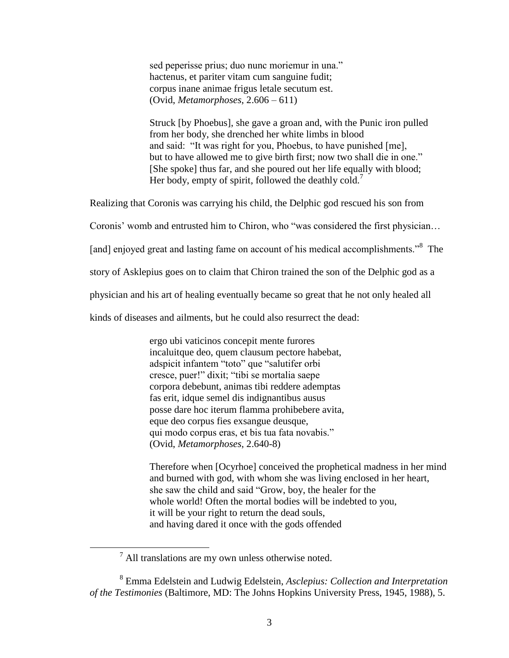sed peperisse prius; duo nunc moriemur in una." hactenus, et pariter vitam cum sanguine fudit; corpus inane animae frigus letale secutum est. (Ovid, *Metamorphoses*, 2.606 – 611)

Struck [by Phoebus], she gave a groan and, with the Punic iron pulled from her body, she drenched her white limbs in blood and said: "It was right for you, Phoebus, to have punished [me], but to have allowed me to give birth first; now two shall die in one." [She spoke] thus far, and she poured out her life equally with blood; Her body, empty of spirit, followed the deathly  $\text{cold.}^7$ 

Realizing that Coronis was carrying his child, the Delphic god rescued his son from

Coronis' womb and entrusted him to Chiron, who "was considered the first physician...

[and] enjoyed great and lasting fame on account of his medical accomplishments."<sup>8</sup> The

story of Asklepius goes on to claim that Chiron trained the son of the Delphic god as a

physician and his art of healing eventually became so great that he not only healed all

kinds of diseases and ailments, but he could also resurrect the dead:

ergo ubi vaticinos concepit mente furores incaluitque deo, quem clausum pectore habebat, adspicit infantem "toto" que "salutifer orbi cresce, puer!" dixit; "tibi se mortalia saepe corpora debebunt, animas tibi reddere ademptas fas erit, idque semel dis indignantibus ausus posse dare hoc iterum flamma prohibebere avita, eque deo corpus fies exsangue deusque, qui modo corpus eras, et bis tua fata novabis." (Ovid, *Metamorphoses*, 2.640-8)

Therefore when [Ocyrhoe] conceived the prophetical madness in her mind and burned with god, with whom she was living enclosed in her heart, she saw the child and said "Grow, boy, the healer for the whole world! Often the mortal bodies will be indebted to you, it will be your right to return the dead souls, and having dared it once with the gods offended

<sup>7</sup> All translations are my own unless otherwise noted.

<sup>8</sup> Emma Edelstein and Ludwig Edelstein, *Asclepius: Collection and Interpretation of the Testimonies* (Baltimore, MD: The Johns Hopkins University Press, 1945, 1988), 5.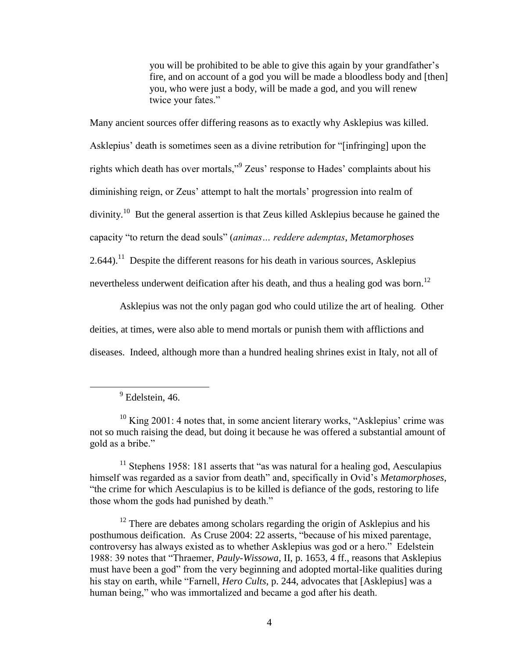you will be prohibited to be able to give this again by your grandfather"s fire, and on account of a god you will be made a bloodless body and [then] you, who were just a body, will be made a god, and you will renew twice your fates."

Many ancient sources offer differing reasons as to exactly why Asklepius was killed. Asklepius' death is sometimes seen as a divine retribution for "[infringing] upon the rights which death has over mortals,"<sup>9</sup> Zeus' response to Hades' complaints about his diminishing reign, or Zeus' attempt to halt the mortals' progression into realm of divinity.<sup>10</sup> But the general assertion is that Zeus killed Asklepius because he gained the capacity "to return the dead souls" (*animas… reddere ademptas*, *Metamorphoses* 2.644).<sup>11</sup> Despite the different reasons for his death in various sources, Asklepius nevertheless underwent deification after his death, and thus a healing god was born.<sup>12</sup>

Asklepius was not the only pagan god who could utilize the art of healing. Other deities, at times, were also able to mend mortals or punish them with afflictions and diseases. Indeed, although more than a hundred healing shrines exist in Italy, not all of

 $\overline{a}$ 

<sup>11</sup> Stephens 1958: 181 asserts that "as was natural for a healing god, Aesculapius himself was regarded as a savior from death" and, specifically in Ovid"s *Metamorphoses*, "the crime for which Aesculapius is to be killed is defiance of the gods, restoring to life those whom the gods had punished by death."

<sup>12</sup> There are debates among scholars regarding the origin of Asklepius and his posthumous deification. As Cruse 2004: 22 asserts, "because of his mixed parentage, controversy has always existed as to whether Asklepius was god or a hero." Edelstein 1988: 39 notes that "Thraemer, *Pauly-Wissowa*, II, p. 1653, 4 ff., reasons that Asklepius must have been a god" from the very beginning and adopted mortal-like qualities during his stay on earth, while "Farnell, *Hero Cults*, p. 244, advocates that [Asklepius] was a human being," who was immortalized and became a god after his death.

<sup>&</sup>lt;sup>9</sup> Edelstein, 46.

 $10$  King 2001: 4 notes that, in some ancient literary works, "Asklepius' crime was not so much raising the dead, but doing it because he was offered a substantial amount of gold as a bribe."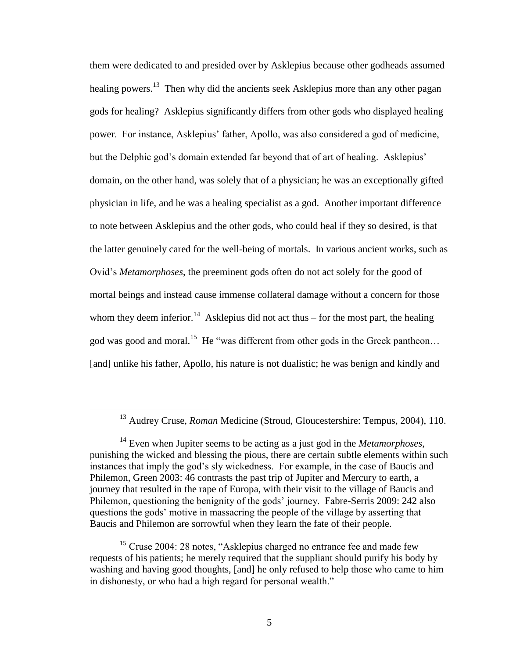them were dedicated to and presided over by Asklepius because other godheads assumed healing powers.<sup>13</sup> Then why did the ancients seek Asklepius more than any other pagan gods for healing? Asklepius significantly differs from other gods who displayed healing power. For instance, Asklepius" father, Apollo, was also considered a god of medicine, but the Delphic god's domain extended far beyond that of art of healing. Asklepius' domain, on the other hand, was solely that of a physician; he was an exceptionally gifted physician in life, and he was a healing specialist as a god. Another important difference to note between Asklepius and the other gods, who could heal if they so desired, is that the latter genuinely cared for the well-being of mortals. In various ancient works, such as Ovid"s *Metamorphoses*, the preeminent gods often do not act solely for the good of mortal beings and instead cause immense collateral damage without a concern for those whom they deem inferior.<sup>14</sup> Asklepius did not act thus – for the most part, the healing god was good and moral.<sup>15</sup> He "was different from other gods in the Greek pantheon... [and] unlike his father, Apollo, his nature is not dualistic; he was benign and kindly and

<sup>13</sup> Audrey Cruse, *Roman* Medicine (Stroud, Gloucestershire: Tempus, 2004), 110.

<sup>14</sup> Even when Jupiter seems to be acting as a just god in the *Metamorphoses*, punishing the wicked and blessing the pious, there are certain subtle elements within such instances that imply the god"s sly wickedness. For example, in the case of Baucis and Philemon, Green 2003: 46 contrasts the past trip of Jupiter and Mercury to earth, a journey that resulted in the rape of Europa, with their visit to the village of Baucis and Philemon, questioning the benignity of the gods" journey. Fabre-Serris 2009: 242 also questions the gods" motive in massacring the people of the village by asserting that Baucis and Philemon are sorrowful when they learn the fate of their people.

<sup>&</sup>lt;sup>15</sup> Cruse 2004: 28 notes, "Asklepius charged no entrance fee and made few requests of his patients; he merely required that the suppliant should purify his body by washing and having good thoughts, [and] he only refused to help those who came to him in dishonesty, or who had a high regard for personal wealth."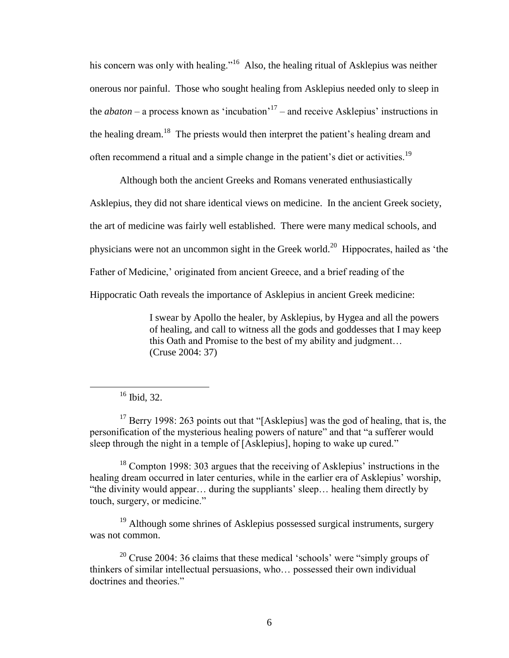his concern was only with healing."<sup>16</sup> Also, the healing ritual of Asklepius was neither onerous nor painful. Those who sought healing from Asklepius needed only to sleep in the *abaton* – a process known as 'incubation'<sup>17</sup> – and receive Asklepius' instructions in the healing dream.<sup>18</sup> The priests would then interpret the patient's healing dream and often recommend a ritual and a simple change in the patient's diet or activities.<sup>19</sup>

Although both the ancient Greeks and Romans venerated enthusiastically Asklepius, they did not share identical views on medicine. In the ancient Greek society, the art of medicine was fairly well established. There were many medical schools, and physicians were not an uncommon sight in the Greek world.<sup>20</sup> Hippocrates, hailed as 'the Father of Medicine,' originated from ancient Greece, and a brief reading of the Hippocratic Oath reveals the importance of Asklepius in ancient Greek medicine:

> I swear by Apollo the healer, by Asklepius, by Hygea and all the powers of healing, and call to witness all the gods and goddesses that I may keep this Oath and Promise to the best of my ability and judgment… (Cruse 2004: 37)

 $16$  Ibid, 32.

 $\overline{a}$ 

 $17$  Berry 1998: 263 points out that "[Asklepius] was the god of healing, that is, the personification of the mysterious healing powers of nature" and that "a sufferer would sleep through the night in a temple of [Asklepius], hoping to wake up cured."

 $18$  Compton 1998: 303 argues that the receiving of Asklepius' instructions in the healing dream occurred in later centuries, while in the earlier era of Asklepius' worship, "the divinity would appear… during the suppliants" sleep… healing them directly by touch, surgery, or medicine."

<sup>19</sup> Although some shrines of Asklepius possessed surgical instruments, surgery was not common.

 $20$  Cruse 2004: 36 claims that these medical 'schools' were "simply groups of thinkers of similar intellectual persuasions, who… possessed their own individual doctrines and theories."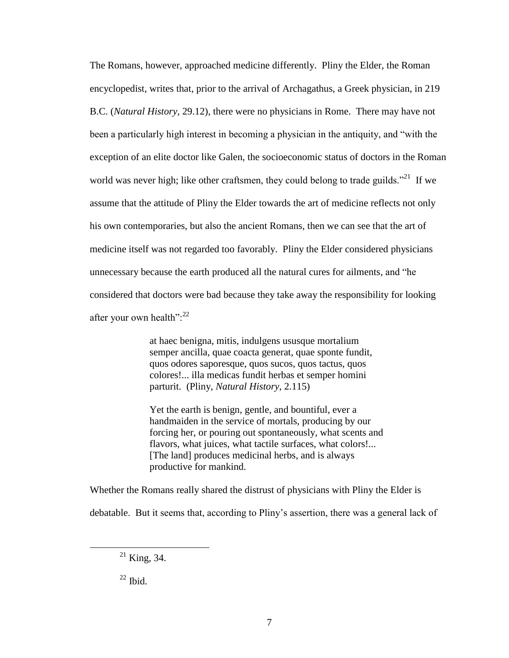The Romans, however, approached medicine differently. Pliny the Elder, the Roman encyclopedist, writes that, prior to the arrival of Archagathus, a Greek physician, in 219 B.C. (*Natural History*, 29.12), there were no physicians in Rome. There may have not been a particularly high interest in becoming a physician in the antiquity, and "with the exception of an elite doctor like Galen, the socioeconomic status of doctors in the Roman world was never high; like other craftsmen, they could belong to trade guilds."<sup>21</sup> If we assume that the attitude of Pliny the Elder towards the art of medicine reflects not only his own contemporaries, but also the ancient Romans, then we can see that the art of medicine itself was not regarded too favorably. Pliny the Elder considered physicians unnecessary because the earth produced all the natural cures for ailments, and "he considered that doctors were bad because they take away the responsibility for looking after your own health": $^{22}$ 

> at haec benigna, mitis, indulgens ususque mortalium semper ancilla, quae coacta generat, quae sponte fundit, quos odores saporesque, quos sucos, quos tactus, quos colores!... illa medicas fundit herbas et semper homini parturit. (Pliny, *Natural History*, 2.115)

Yet the earth is benign, gentle, and bountiful, ever a handmaiden in the service of mortals, producing by our forcing her, or pouring out spontaneously, what scents and flavors, what juices, what tactile surfaces, what colors!... [The land] produces medicinal herbs, and is always productive for mankind.

Whether the Romans really shared the distrust of physicians with Pliny the Elder is

debatable. But it seems that, according to Pliny"s assertion, there was a general lack of

 $^{21}$  King, 34.

 $22$  Ibid.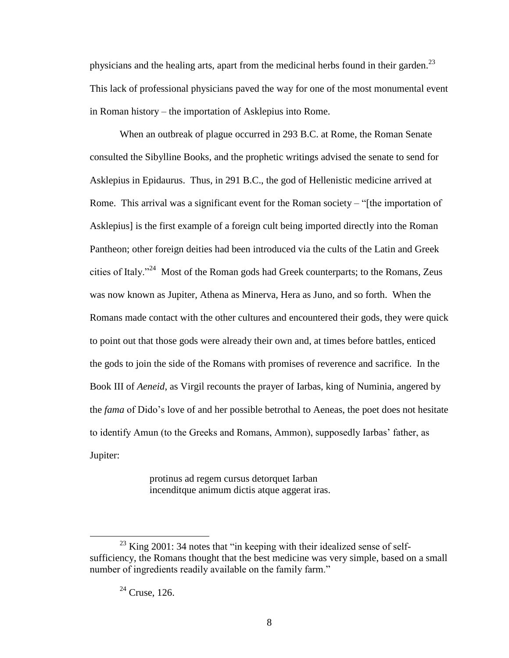physicians and the healing arts, apart from the medicinal herbs found in their garden. $^{23}$ This lack of professional physicians paved the way for one of the most monumental event in Roman history – the importation of Asklepius into Rome.

When an outbreak of plague occurred in 293 B.C. at Rome, the Roman Senate consulted the Sibylline Books, and the prophetic writings advised the senate to send for Asklepius in Epidaurus. Thus, in 291 B.C., the god of Hellenistic medicine arrived at Rome. This arrival was a significant event for the Roman society – "[the importation of Asklepius] is the first example of a foreign cult being imported directly into the Roman Pantheon; other foreign deities had been introduced via the cults of the Latin and Greek cities of Italy."<sup>24</sup> Most of the Roman gods had Greek counterparts; to the Romans, Zeus was now known as Jupiter, Athena as Minerva, Hera as Juno, and so forth. When the Romans made contact with the other cultures and encountered their gods, they were quick to point out that those gods were already their own and, at times before battles, enticed the gods to join the side of the Romans with promises of reverence and sacrifice. In the Book III of *Aeneid*, as Virgil recounts the prayer of Iarbas, king of Numinia, angered by the *fama* of Dido"s love of and her possible betrothal to Aeneas, the poet does not hesitate to identify Amun (to the Greeks and Romans, Ammon), supposedly Iarbas' father, as Jupiter:

> protinus ad regem cursus detorquet Iarban incenditque animum dictis atque aggerat iras.

 $23$  King 2001: 34 notes that "in keeping with their idealized sense of selfsufficiency, the Romans thought that the best medicine was very simple, based on a small number of ingredients readily available on the family farm."

 $24$  Cruse, 126.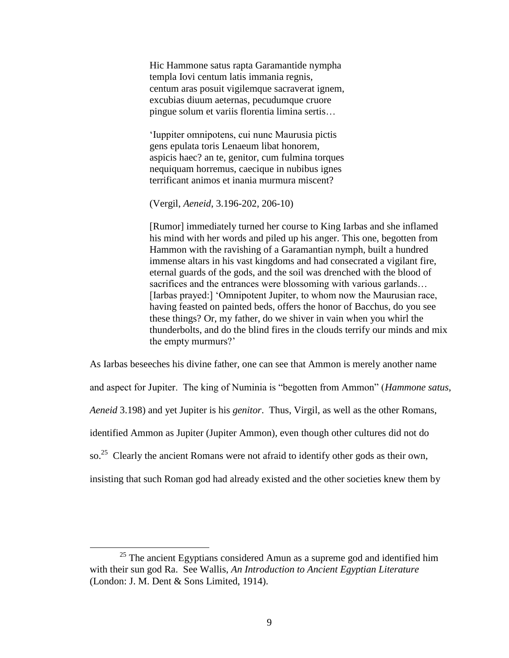Hic Hammone satus rapta Garamantide nympha templa Iovi centum latis immania regnis, centum aras posuit vigilemque sacraverat ignem, excubias diuum aeternas, pecudumque cruore pingue solum et variis florentia limina sertis…

"Iuppiter omnipotens, cui nunc Maurusia pictis gens epulata toris Lenaeum libat honorem, aspicis haec? an te, genitor, cum fulmina torques nequiquam horremus, caecique in nubibus ignes terrificant animos et inania murmura miscent?

(Vergil, *Aeneid*, 3.196-202, 206-10)

[Rumor] immediately turned her course to King Iarbas and she inflamed his mind with her words and piled up his anger. This one, begotten from Hammon with the ravishing of a Garamantian nymph, built a hundred immense altars in his vast kingdoms and had consecrated a vigilant fire, eternal guards of the gods, and the soil was drenched with the blood of sacrifices and the entrances were blossoming with various garlands... [Iarbas prayed:] 'Omnipotent Jupiter, to whom now the Maurusian race, having feasted on painted beds, offers the honor of Bacchus, do you see these things? Or, my father, do we shiver in vain when you whirl the thunderbolts, and do the blind fires in the clouds terrify our minds and mix the empty murmurs?"

As Iarbas beseeches his divine father, one can see that Ammon is merely another name and aspect for Jupiter. The king of Numinia is "begotten from Ammon" (*Hammone satus*, *Aeneid* 3.198) and yet Jupiter is his *genitor*. Thus, Virgil, as well as the other Romans, identified Ammon as Jupiter (Jupiter Ammon), even though other cultures did not do so.<sup>25</sup> Clearly the ancient Romans were not afraid to identify other gods as their own, insisting that such Roman god had already existed and the other societies knew them by

 $25$  The ancient Egyptians considered Amun as a supreme god and identified him with their sun god Ra. See Wallis, *An Introduction to Ancient Egyptian Literature* (London: J. M. Dent & Sons Limited, 1914).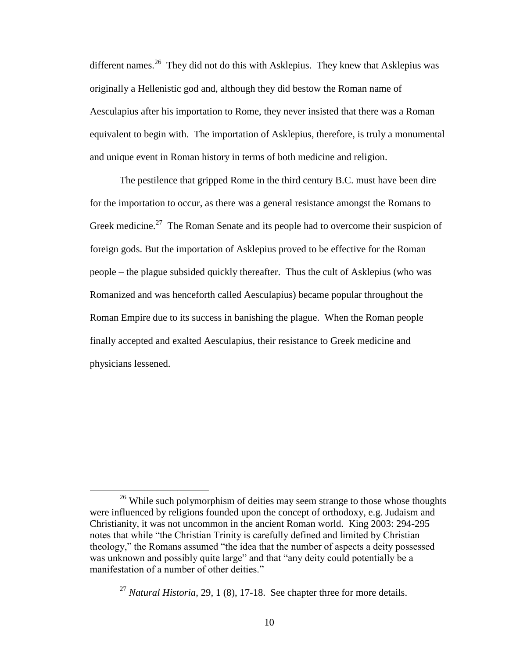different names.<sup>26</sup> They did not do this with Asklepius. They knew that Asklepius was originally a Hellenistic god and, although they did bestow the Roman name of Aesculapius after his importation to Rome, they never insisted that there was a Roman equivalent to begin with. The importation of Asklepius, therefore, is truly a monumental and unique event in Roman history in terms of both medicine and religion.

The pestilence that gripped Rome in the third century B.C. must have been dire for the importation to occur, as there was a general resistance amongst the Romans to Greek medicine.<sup>27</sup> The Roman Senate and its people had to overcome their suspicion of foreign gods. But the importation of Asklepius proved to be effective for the Roman people – the plague subsided quickly thereafter. Thus the cult of Asklepius (who was Romanized and was henceforth called Aesculapius) became popular throughout the Roman Empire due to its success in banishing the plague. When the Roman people finally accepted and exalted Aesculapius, their resistance to Greek medicine and physicians lessened.

<sup>&</sup>lt;sup>26</sup> While such polymorphism of deities may seem strange to those whose thoughts were influenced by religions founded upon the concept of orthodoxy, e.g. Judaism and Christianity, it was not uncommon in the ancient Roman world. King 2003: 294-295 notes that while "the Christian Trinity is carefully defined and limited by Christian theology," the Romans assumed "the idea that the number of aspects a deity possessed was unknown and possibly quite large" and that "any deity could potentially be a manifestation of a number of other deities."

<sup>27</sup> *Natural Historia*, 29, 1 (8), 17-18. See chapter three for more details.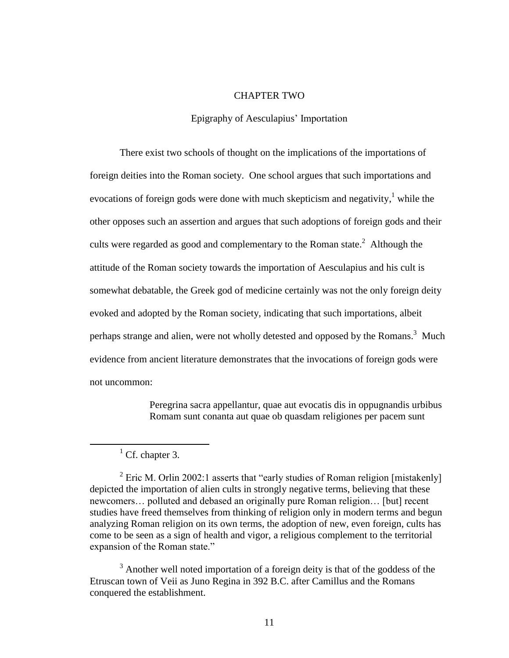#### CHAPTER TWO

#### Epigraphy of Aesculapius' Importation

There exist two schools of thought on the implications of the importations of foreign deities into the Roman society. One school argues that such importations and evocations of foreign gods were done with much skepticism and negativity,<sup>1</sup> while the other opposes such an assertion and argues that such adoptions of foreign gods and their cults were regarded as good and complementary to the Roman state.<sup>2</sup> Although the attitude of the Roman society towards the importation of Aesculapius and his cult is somewhat debatable, the Greek god of medicine certainly was not the only foreign deity evoked and adopted by the Roman society, indicating that such importations, albeit perhaps strange and alien, were not wholly detested and opposed by the Romans.<sup>3</sup> Much evidence from ancient literature demonstrates that the invocations of foreign gods were not uncommon:

> Peregrina sacra appellantur, quae aut evocatis dis in oppugnandis urbibus Romam sunt conanta aut quae ob quasdam religiones per pacem sunt

 $\overline{a}$ 

<sup>3</sup> Another well noted importation of a foreign deity is that of the goddess of the Etruscan town of Veii as Juno Regina in 392 B.C. after Camillus and the Romans conquered the establishment.

 $<sup>1</sup>$  Cf. chapter 3.</sup>

<sup>&</sup>lt;sup>2</sup> Eric M. Orlin 2002:1 asserts that "early studies of Roman religion [mistakenly] depicted the importation of alien cults in strongly negative terms, believing that these newcomers… polluted and debased an originally pure Roman religion… [but] recent studies have freed themselves from thinking of religion only in modern terms and begun analyzing Roman religion on its own terms, the adoption of new, even foreign, cults has come to be seen as a sign of health and vigor, a religious complement to the territorial expansion of the Roman state."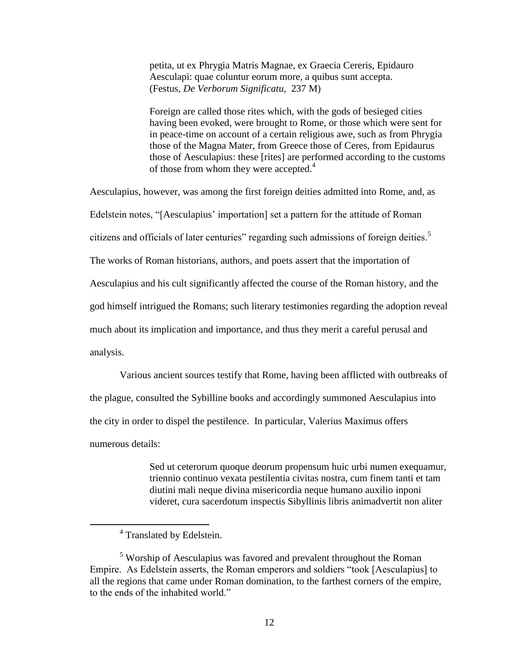petita, ut ex Phrygia Matris Magnae, ex Graecia Cereris, Epidauro Aesculapi: quae coluntur eorum more, a quibus sunt accepta. (Festus*, De Verborum Significatu*, 237 M)

Foreign are called those rites which, with the gods of besieged cities having been evoked, were brought to Rome, or those which were sent for in peace-time on account of a certain religious awe, such as from Phrygia those of the Magna Mater, from Greece those of Ceres, from Epidaurus those of Aesculapius: these [rites] are performed according to the customs of those from whom they were accepted. 4

Aesculapius, however, was among the first foreign deities admitted into Rome, and, as Edelstein notes, "[Aesculapius' importation] set a pattern for the attitude of Roman citizens and officials of later centuries" regarding such admissions of foreign deities.<sup>5</sup> The works of Roman historians, authors, and poets assert that the importation of Aesculapius and his cult significantly affected the course of the Roman history, and the god himself intrigued the Romans; such literary testimonies regarding the adoption reveal much about its implication and importance, and thus they merit a careful perusal and analysis.

Various ancient sources testify that Rome, having been afflicted with outbreaks of the plague, consulted the Sybilline books and accordingly summoned Aesculapius into the city in order to dispel the pestilence. In particular, Valerius Maximus offers numerous details:

> Sed ut ceterorum quoque deorum propensum huic urbi numen exequamur, triennio continuo vexata pestilentia civitas nostra, cum finem tanti et tam diutini mali neque divina misericordia neque humano auxilio inponi videret, cura sacerdotum inspectis Sibyllinis libris animadvertit non aliter

<sup>&</sup>lt;sup>4</sup> Translated by Edelstein.

<sup>&</sup>lt;sup>5</sup> Worship of Aesculapius was favored and prevalent throughout the Roman Empire. As Edelstein asserts, the Roman emperors and soldiers "took [Aesculapius] to all the regions that came under Roman domination, to the farthest corners of the empire, to the ends of the inhabited world."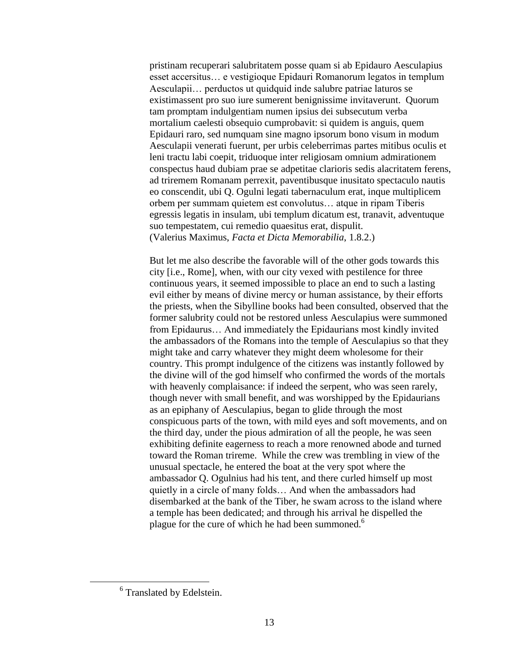pristinam recuperari salubritatem posse quam si ab Epidauro Aesculapius esset accersitus… e vestigioque Epidauri Romanorum legatos in templum Aesculapii… perductos ut quidquid inde salubre patriae laturos se existimassent pro suo iure sumerent benignissime invitaverunt. Quorum tam promptam indulgentiam numen ipsius dei subsecutum verba mortalium caelesti obsequio cumprobavit: si quidem is anguis, quem Epidauri raro, sed numquam sine magno ipsorum bono visum in modum Aesculapii venerati fuerunt, per urbis celeberrimas partes mitibus oculis et leni tractu labi coepit, triduoque inter religiosam omnium admirationem conspectus haud dubiam prae se adpetitae clarioris sedis alacritatem ferens, ad triremem Romanam perrexit, paventibusque inusitato spectaculo nautis eo conscendit, ubi Q. Ogulni legati tabernaculum erat, inque multiplicem orbem per summam quietem est convolutus… atque in ripam Tiberis egressis legatis in insulam, ubi templum dicatum est, tranavit, adventuque suo tempestatem, cui remedio quaesitus erat, dispulit. (Valerius Maximus, *Facta et Dicta Memorabilia*, 1.8.2.)

But let me also describe the favorable will of the other gods towards this city [i.e., Rome], when, with our city vexed with pestilence for three continuous years, it seemed impossible to place an end to such a lasting evil either by means of divine mercy or human assistance, by their efforts the priests, when the Sibylline books had been consulted, observed that the former salubrity could not be restored unless Aesculapius were summoned from Epidaurus… And immediately the Epidaurians most kindly invited the ambassadors of the Romans into the temple of Aesculapius so that they might take and carry whatever they might deem wholesome for their country. This prompt indulgence of the citizens was instantly followed by the divine will of the god himself who confirmed the words of the mortals with heavenly complaisance: if indeed the serpent, who was seen rarely, though never with small benefit, and was worshipped by the Epidaurians as an epiphany of Aesculapius, began to glide through the most conspicuous parts of the town, with mild eyes and soft movements, and on the third day, under the pious admiration of all the people, he was seen exhibiting definite eagerness to reach a more renowned abode and turned toward the Roman trireme. While the crew was trembling in view of the unusual spectacle, he entered the boat at the very spot where the ambassador Q. Ogulnius had his tent, and there curled himself up most quietly in a circle of many folds… And when the ambassadors had disembarked at the bank of the Tiber, he swam across to the island where a temple has been dedicated; and through his arrival he dispelled the plague for the cure of which he had been summoned.<sup>6</sup>

<sup>&</sup>lt;sup>6</sup> Translated by Edelstein.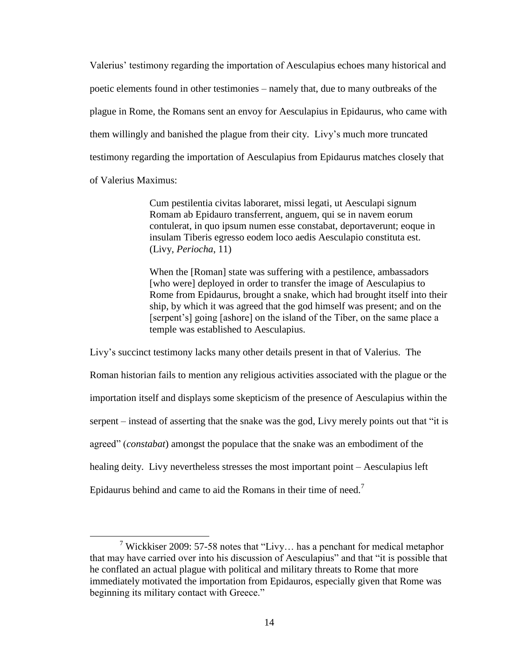Valerius" testimony regarding the importation of Aesculapius echoes many historical and poetic elements found in other testimonies – namely that, due to many outbreaks of the plague in Rome, the Romans sent an envoy for Aesculapius in Epidaurus, who came with them willingly and banished the plague from their city. Livy"s much more truncated testimony regarding the importation of Aesculapius from Epidaurus matches closely that of Valerius Maximus:

> Cum pestilentia civitas laboraret, missi legati, ut Aesculapi signum Romam ab Epidauro transferrent, anguem, qui se in navem eorum contulerat, in quo ipsum numen esse constabat, deportaverunt; eoque in insulam Tiberis egresso eodem loco aedis Aesculapio constituta est. (Livy, *Periocha*, 11)

When the [Roman] state was suffering with a pestilence, ambassadors [who were] deployed in order to transfer the image of Aesculapius to Rome from Epidaurus, brought a snake, which had brought itself into their ship, by which it was agreed that the god himself was present; and on the [serpent's] going [ashore] on the island of the Tiber, on the same place a temple was established to Aesculapius.

Livy"s succinct testimony lacks many other details present in that of Valerius. The Roman historian fails to mention any religious activities associated with the plague or the importation itself and displays some skepticism of the presence of Aesculapius within the serpent – instead of asserting that the snake was the god, Livy merely points out that "it is agreed" (*constabat*) amongst the populace that the snake was an embodiment of the healing deity. Livy nevertheless stresses the most important point – Aesculapius left Epidaurus behind and came to aid the Romans in their time of need.<sup>7</sup>

<sup>&</sup>lt;sup>7</sup> Wickkiser 2009: 57-58 notes that "Livy... has a penchant for medical metaphor that may have carried over into his discussion of Aesculapius" and that "it is possible that he conflated an actual plague with political and military threats to Rome that more immediately motivated the importation from Epidauros, especially given that Rome was beginning its military contact with Greece."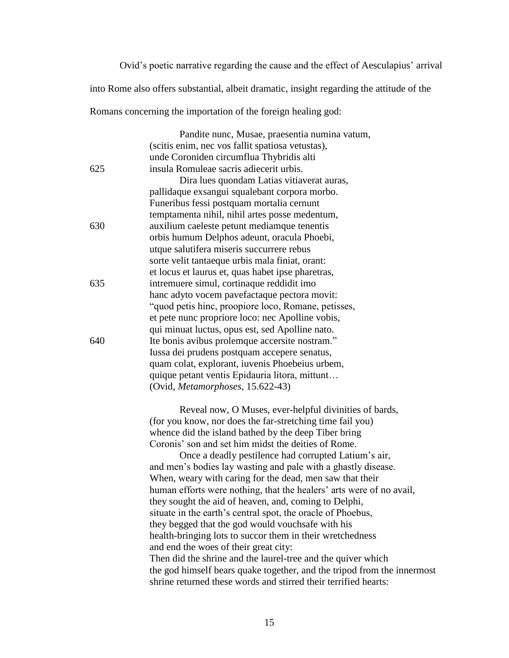Ovid's poetic narrative regarding the cause and the effect of Aesculapius' arrival into Rome also offers substantial, albeit dramatic, insight regarding the attitude of the Romans concerning the importation of the foreign healing god:

|     | Pandite nunc, Musae, praesentia numina vatum,       |
|-----|-----------------------------------------------------|
|     | (scitis enim, nec vos fallit spatiosa vetustas),    |
|     | unde Coroniden circumflua Thybridis alti            |
| 625 | insula Romuleae sacris adiecerit urbis.             |
|     | Dira lues quondam Latias vitiaverat auras,          |
|     | pallidaque exsangui squalebant corpora morbo.       |
|     | Funeribus fessi postquam mortalia cernunt           |
|     | temptamenta nihil, nihil artes posse medentum,      |
| 630 | auxilium caeleste petunt mediamque tenentis         |
|     | orbis humum Delphos adeunt, oracula Phoebi,         |
|     | utque salutifera miseris succurrere rebus           |
|     | sorte velit tantaeque urbis mala finiat, orant:     |
|     | et locus et laurus et, quas habet ipse pharetras,   |
| 635 | intremuere simul, cortinaque reddidit imo           |
|     | hanc adyto vocem pavefactaque pectora movit:        |
|     | "quod petis hinc, proopiore loco, Romane, petisses, |
|     | et pete nunc propriore loco: nec Apolline vobis,    |
|     | qui minuat luctus, opus est, sed Apolline nato.     |
| 640 | Ite bonis avibus prolemque accersite nostram."      |
|     | Iussa dei prudens postquam accepere senatus,        |
|     | quam colat, explorant, iuvenis Phoebeius urbem,     |
|     | quique petant ventis Epidauria litora, mittunt      |
|     | (Ovid, Metamorphoses, 15.622-43)                    |
|     |                                                     |

Reveal now, O Muses, ever-helpful divinities of bards, (for you know, nor does the far-stretching time fail you) whence did the island bathed by the deep Tiber bring Coronis" son and set him midst the deities of Rome.

Once a deadly pestilence had corrupted Latium"s air, and men"s bodies lay wasting and pale with a ghastly disease. When, weary with caring for the dead, men saw that their human efforts were nothing, that the healers' arts were of no avail, they sought the aid of heaven, and, coming to Delphi, situate in the earth"s central spot, the oracle of Phoebus, they begged that the god would vouchsafe with his health-bringing lots to succor them in their wretchedness and end the woes of their great city: Then did the shrine and the laurel-tree and the quiver which the god himself bears quake together, and the tripod from the innermost shrine returned these words and stirred their terrified hearts: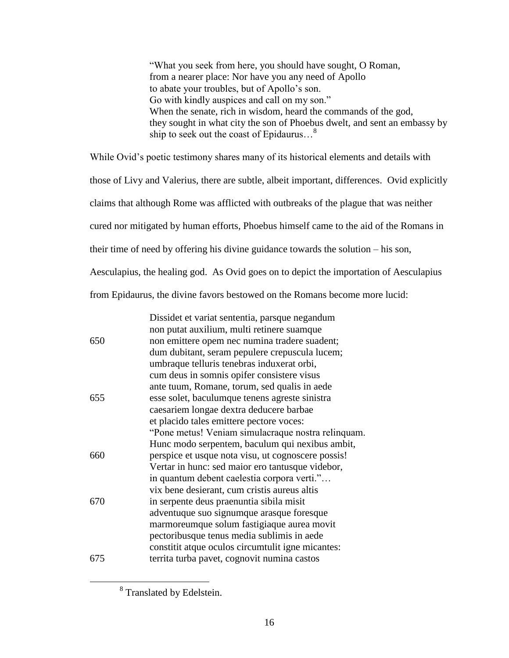"What you seek from here, you should have sought, O Roman, from a nearer place: Nor have you any need of Apollo to abate your troubles, but of Apollo"s son. Go with kindly auspices and call on my son." When the senate, rich in wisdom, heard the commands of the god, they sought in what city the son of Phoebus dwelt, and sent an embassy by ship to seek out the coast of Epidaurus…<sup>8</sup>

While Ovid"s poetic testimony shares many of its historical elements and details with those of Livy and Valerius, there are subtle, albeit important, differences. Ovid explicitly claims that although Rome was afflicted with outbreaks of the plague that was neither cured nor mitigated by human efforts, Phoebus himself came to the aid of the Romans in their time of need by offering his divine guidance towards the solution – his son, Aesculapius, the healing god. As Ovid goes on to depict the importation of Aesculapius from Epidaurus, the divine favors bestowed on the Romans become more lucid:

|     | Dissidet et variat sententia, parsque negandum     |
|-----|----------------------------------------------------|
|     | non putat auxilium, multi retinere suamque         |
| 650 | non emittere opem nec numina tradere suadent;      |
|     | dum dubitant, seram pepulere crepuscula lucem;     |
|     | umbraque telluris tenebras induxerat orbi,         |
|     | cum deus in somnis opifer consistere visus         |
|     | ante tuum, Romane, torum, sed qualis in aede       |
| 655 | esse solet, baculumque tenens agreste sinistra     |
|     | caesariem longae dextra deducere barbae            |
|     | et placido tales emittere pectore voces:           |
|     | "Pone metus! Veniam simulacraque nostra relinquam. |
|     | Hunc modo serpentem, baculum qui nexibus ambit,    |
| 660 | perspice et usque nota visu, ut cognoscere possis! |
|     | Vertar in hunc: sed maior ero tantusque videbor,   |
|     | in quantum debent caelestia corpora verti."        |
|     | vix bene desierant, cum cristis aureus altis       |
| 670 | in serpente deus praenuntia sibila misit           |
|     | adventuque suo signumque arasque foresque          |
|     | marmoreumque solum fastigiaque aurea movit         |
|     | pectoribusque tenus media sublimis in aede         |
|     | constitit atque oculos circumtulit igne micantes:  |
| 675 | territa turba pavet, cognovit numina castos        |

<sup>&</sup>lt;sup>8</sup> Translated by Edelstein.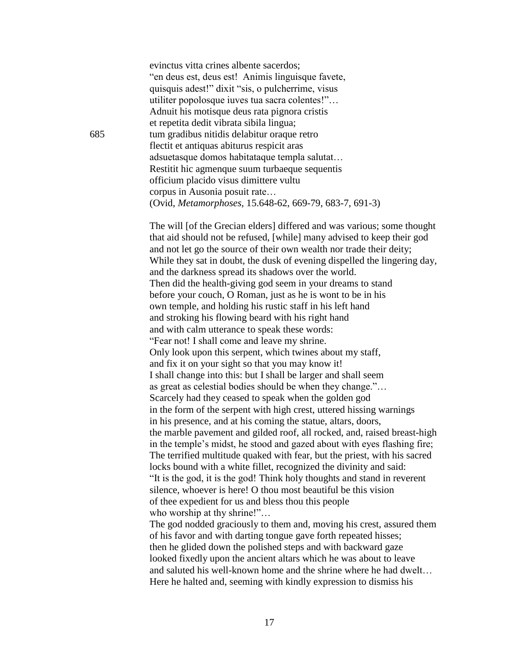evinctus vitta crines albente sacerdos; "en deus est, deus est! Animis linguisque favete, quisquis adest!" dixit "sis, o pulcherrime, visus utiliter popolosque iuves tua sacra colentes!"… Adnuit his motisque deus rata pignora cristis et repetita dedit vibrata sibila lingua; 685 tum gradibus nitidis delabitur oraque retro flectit et antiquas abiturus respicit aras adsuetasque domos habitataque templa salutat… Restitit hic agmenque suum turbaeque sequentis officium placido visus dimittere vultu corpus in Ausonia posuit rate… (Ovid, *Metamorphoses*, 15.648-62, 669-79, 683-7, 691-3)

> The will [of the Grecian elders] differed and was various; some thought that aid should not be refused, [while] many advised to keep their god and not let go the source of their own wealth nor trade their deity; While they sat in doubt, the dusk of evening dispelled the lingering day, and the darkness spread its shadows over the world. Then did the health-giving god seem in your dreams to stand before your couch, O Roman, just as he is wont to be in his own temple, and holding his rustic staff in his left hand and stroking his flowing beard with his right hand and with calm utterance to speak these words: "Fear not! I shall come and leave my shrine. Only look upon this serpent, which twines about my staff, and fix it on your sight so that you may know it! I shall change into this: but I shall be larger and shall seem as great as celestial bodies should be when they change."… Scarcely had they ceased to speak when the golden god in the form of the serpent with high crest, uttered hissing warnings in his presence, and at his coming the statue, altars, doors, the marble pavement and gilded roof, all rocked, and, raised breast-high in the temple"s midst, he stood and gazed about with eyes flashing fire; The terrified multitude quaked with fear, but the priest, with his sacred locks bound with a white fillet, recognized the divinity and said: "It is the god, it is the god! Think holy thoughts and stand in reverent silence, whoever is here! O thou most beautiful be this vision of thee expedient for us and bless thou this people who worship at thy shrine!"...

> The god nodded graciously to them and, moving his crest, assured them of his favor and with darting tongue gave forth repeated hisses; then he glided down the polished steps and with backward gaze looked fixedly upon the ancient altars which he was about to leave and saluted his well-known home and the shrine where he had dwelt… Here he halted and, seeming with kindly expression to dismiss his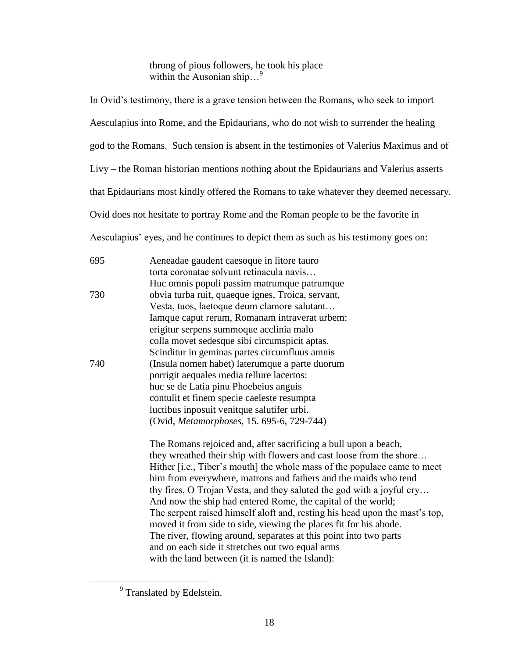throng of pious followers, he took his place within the Ausonian ship...<sup>9</sup>

In Ovid"s testimony, there is a grave tension between the Romans, who seek to import Aesculapius into Rome, and the Epidaurians, who do not wish to surrender the healing god to the Romans. Such tension is absent in the testimonies of Valerius Maximus and of Livy – the Roman historian mentions nothing about the Epidaurians and Valerius asserts that Epidaurians most kindly offered the Romans to take whatever they deemed necessary. Ovid does not hesitate to portray Rome and the Roman people to be the favorite in Aesculapius' eyes, and he continues to depict them as such as his testimony goes on:

| 695 | Aeneadae gaudent caesoque in litore tauro         |
|-----|---------------------------------------------------|
|     | torta coronatae solvunt retinacula navis          |
|     | Huc omnis populi passim matrumque patrumque       |
| 730 | obvia turba ruit, quaeque ignes, Troica, servant, |
|     | Vesta, tuos, laetoque deum clamore salutant       |
|     | Iamque caput rerum, Romanam intraverat urbem:     |
|     | erigitur serpens summoque acclinia malo           |
|     | colla movet sedesque sibi circumspicit aptas.     |
|     | Scinditur in geminas partes circumfluus amnis     |
| 740 | (Insula nomen habet) laterumque a parte duorum    |
|     | porrigit aequales media tellure lacertos:         |
|     | huc se de Latia pinu Phoebeius anguis             |
|     | contulit et finem specie caeleste resumpta        |
|     | luctibus inposuit venitque salutifer urbi.        |
|     | (Ovid, Metamorphoses, 15. 695-6, 729-744)         |

The Romans rejoiced and, after sacrificing a bull upon a beach, they wreathed their ship with flowers and cast loose from the shore… Hither [i.e., Tiber's mouth] the whole mass of the populace came to meet him from everywhere, matrons and fathers and the maids who tend thy fires, O Trojan Vesta, and they saluted the god with a joyful cry… And now the ship had entered Rome, the capital of the world; The serpent raised himself aloft and, resting his head upon the mast"s top, moved it from side to side, viewing the places fit for his abode. The river, flowing around, separates at this point into two parts and on each side it stretches out two equal arms with the land between (it is named the Island):

<sup>&</sup>lt;sup>9</sup> Translated by Edelstein.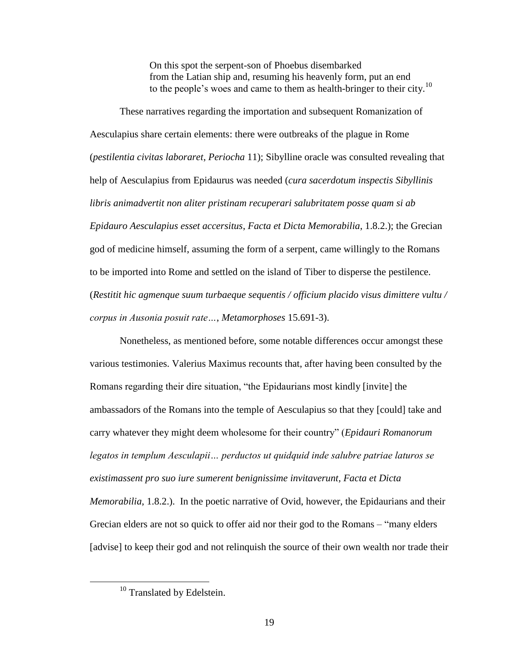On this spot the serpent-son of Phoebus disembarked from the Latian ship and, resuming his heavenly form, put an end to the people"s woes and came to them as health-bringer to their city.<sup>10</sup>

These narratives regarding the importation and subsequent Romanization of Aesculapius share certain elements: there were outbreaks of the plague in Rome (*pestilentia civitas laboraret*, *Periocha* 11); Sibylline oracle was consulted revealing that help of Aesculapius from Epidaurus was needed (*cura sacerdotum inspectis Sibyllinis libris animadvertit non aliter pristinam recuperari salubritatem posse quam si ab Epidauro Aesculapius esset accersitus*, *Facta et Dicta Memorabilia*, 1.8.2.); the Grecian god of medicine himself, assuming the form of a serpent, came willingly to the Romans to be imported into Rome and settled on the island of Tiber to disperse the pestilence. (*Restitit hic agmenque suum turbaeque sequentis / officium placido visus dimittere vultu / corpus in Ausonia posuit rate…*, *Metamorphoses* 15.691-3).

Nonetheless, as mentioned before, some notable differences occur amongst these various testimonies. Valerius Maximus recounts that, after having been consulted by the Romans regarding their dire situation, "the Epidaurians most kindly [invite] the ambassadors of the Romans into the temple of Aesculapius so that they [could] take and carry whatever they might deem wholesome for their country" (*Epidauri Romanorum legatos in templum Aesculapii… perductos ut quidquid inde salubre patriae laturos se existimassent pro suo iure sumerent benignissime invitaverunt, Facta et Dicta Memorabilia*, 1.8.2.). In the poetic narrative of Ovid, however, the Epidaurians and their Grecian elders are not so quick to offer aid nor their god to the Romans – "many elders [advise] to keep their god and not relinquish the source of their own wealth nor trade their

<sup>&</sup>lt;sup>10</sup> Translated by Edelstein.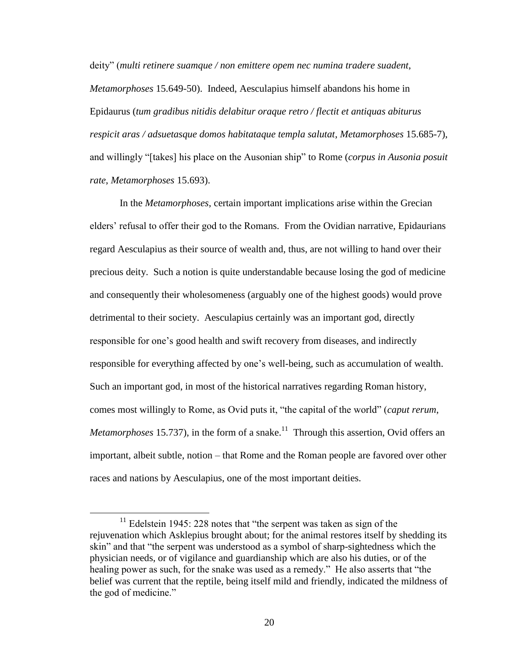deity" (*multi retinere suamque / non emittere opem nec numina tradere suadent*, *Metamorphoses* 15.649-50). Indeed, Aesculapius himself abandons his home in Epidaurus (*tum gradibus nitidis delabitur oraque retro / flectit et antiquas abiturus respicit aras / adsuetasque domos habitataque templa salutat*, *Metamorphoses* 15.685-7), and willingly "[takes] his place on the Ausonian ship" to Rome (*corpus in Ausonia posuit rate*, *Metamorphoses* 15.693).

In the *Metamorphoses*, certain important implications arise within the Grecian elders" refusal to offer their god to the Romans. From the Ovidian narrative, Epidaurians regard Aesculapius as their source of wealth and, thus, are not willing to hand over their precious deity. Such a notion is quite understandable because losing the god of medicine and consequently their wholesomeness (arguably one of the highest goods) would prove detrimental to their society. Aesculapius certainly was an important god, directly responsible for one's good health and swift recovery from diseases, and indirectly responsible for everything affected by one"s well-being, such as accumulation of wealth. Such an important god, in most of the historical narratives regarding Roman history, comes most willingly to Rome, as Ovid puts it, "the capital of the world" (*caput rerum*, *Metamorphoses* 15.737), in the form of a snake.<sup>11</sup> Through this assertion, Ovid offers an important, albeit subtle, notion – that Rome and the Roman people are favored over other races and nations by Aesculapius, one of the most important deities.

 $11$  Edelstein 1945: 228 notes that "the serpent was taken as sign of the rejuvenation which Asklepius brought about; for the animal restores itself by shedding its skin" and that "the serpent was understood as a symbol of sharp-sightedness which the physician needs, or of vigilance and guardianship which are also his duties, or of the healing power as such, for the snake was used as a remedy." He also asserts that "the belief was current that the reptile, being itself mild and friendly, indicated the mildness of the god of medicine."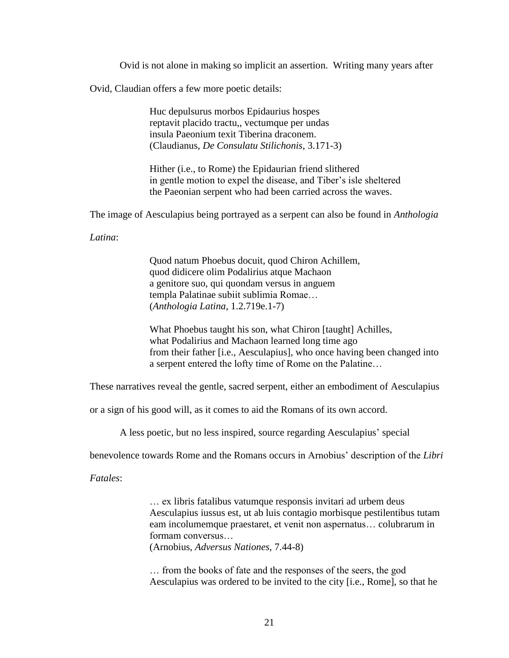Ovid is not alone in making so implicit an assertion. Writing many years after

Ovid, Claudian offers a few more poetic details:

Huc depulsurus morbos Epidaurius hospes reptavit placido tractu,, vectumque per undas insula Paeonium texit Tiberina draconem. (Claudianus, *De Consulatu Stilichonis*, 3.171-3)

Hither (i.e., to Rome) the Epidaurian friend slithered in gentle motion to expel the disease, and Tiber"s isle sheltered the Paeonian serpent who had been carried across the waves.

The image of Aesculapius being portrayed as a serpent can also be found in *Anthologia* 

*Latina*:

Quod natum Phoebus docuit, quod Chiron Achillem, quod didicere olim Podalirius atque Machaon a genitore suo, qui quondam versus in anguem templa Palatinae subiit sublimia Romae… (*Anthologia Latina*, 1.2.719e.1-7)

What Phoebus taught his son, what Chiron [taught] Achilles, what Podalirius and Machaon learned long time ago from their father [i.e., Aesculapius], who once having been changed into a serpent entered the lofty time of Rome on the Palatine…

These narratives reveal the gentle, sacred serpent, either an embodiment of Aesculapius

or a sign of his good will, as it comes to aid the Romans of its own accord.

A less poetic, but no less inspired, source regarding Aesculapius" special

benevolence towards Rome and the Romans occurs in Arnobius" description of the *Libri* 

*Fatales*:

… ex libris fatalibus vatumque responsis invitari ad urbem deus Aesculapius iussus est, ut ab luis contagio morbisque pestilentibus tutam eam incolumemque praestaret, et venit non aspernatus… colubrarum in formam conversus…

(Arnobius, *Adversus Nationes*, 7.44-8)

… from the books of fate and the responses of the seers, the god Aesculapius was ordered to be invited to the city [i.e., Rome], so that he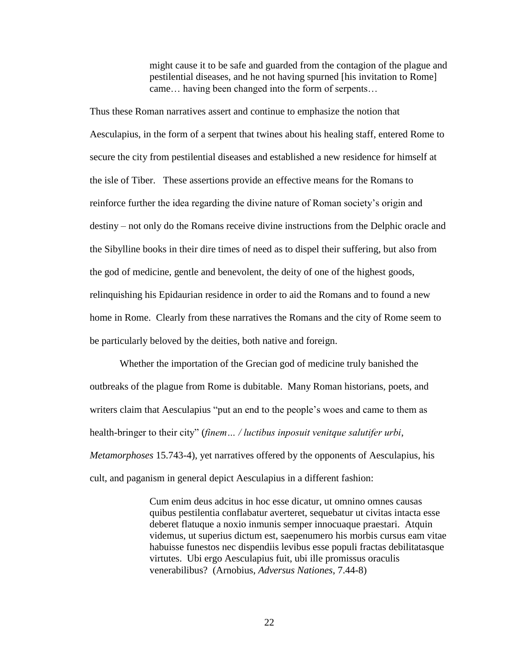might cause it to be safe and guarded from the contagion of the plague and pestilential diseases, and he not having spurned [his invitation to Rome] came… having been changed into the form of serpents…

Thus these Roman narratives assert and continue to emphasize the notion that Aesculapius, in the form of a serpent that twines about his healing staff, entered Rome to secure the city from pestilential diseases and established a new residence for himself at the isle of Tiber. These assertions provide an effective means for the Romans to reinforce further the idea regarding the divine nature of Roman society"s origin and destiny – not only do the Romans receive divine instructions from the Delphic oracle and the Sibylline books in their dire times of need as to dispel their suffering, but also from the god of medicine, gentle and benevolent, the deity of one of the highest goods, relinquishing his Epidaurian residence in order to aid the Romans and to found a new home in Rome. Clearly from these narratives the Romans and the city of Rome seem to be particularly beloved by the deities, both native and foreign.

Whether the importation of the Grecian god of medicine truly banished the outbreaks of the plague from Rome is dubitable. Many Roman historians, poets, and writers claim that Aesculapius "put an end to the people's woes and came to them as health-bringer to their city" (*finem… / luctibus inposuit venitque salutifer urbi*, *Metamorphoses* 15.743-4), yet narratives offered by the opponents of Aesculapius, his cult, and paganism in general depict Aesculapius in a different fashion:

> Cum enim deus adcitus in hoc esse dicatur, ut omnino omnes causas quibus pestilentia conflabatur averteret, sequebatur ut civitas intacta esse deberet flatuque a noxio inmunis semper innocuaque praestari. Atquin videmus, ut superius dictum est, saepenumero his morbis cursus eam vitae habuisse funestos nec dispendiis levibus esse populi fractas debilitatasque virtutes. Ubi ergo Aesculapius fuit, ubi ille promissus oraculis venerabilibus? (Arnobius, *Adversus Nationes*, 7.44-8)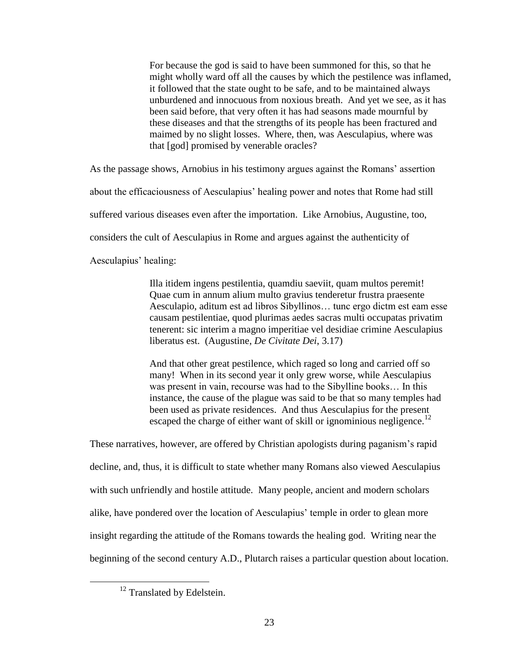For because the god is said to have been summoned for this, so that he might wholly ward off all the causes by which the pestilence was inflamed, it followed that the state ought to be safe, and to be maintained always unburdened and innocuous from noxious breath. And yet we see, as it has been said before, that very often it has had seasons made mournful by these diseases and that the strengths of its people has been fractured and maimed by no slight losses. Where, then, was Aesculapius, where was that [god] promised by venerable oracles?

As the passage shows, Arnobius in his testimony argues against the Romans" assertion

about the efficaciousness of Aesculapius' healing power and notes that Rome had still

suffered various diseases even after the importation. Like Arnobius, Augustine, too,

considers the cult of Aesculapius in Rome and argues against the authenticity of

Aesculapius' healing:

Illa itidem ingens pestilentia, quamdiu saeviit, quam multos peremit! Quae cum in annum alium multo gravius tenderetur frustra praesente Aesculapio, aditum est ad libros Sibyllinos… tunc ergo dictm est eam esse causam pestilentiae, quod plurimas aedes sacras multi occupatas privatim tenerent: sic interim a magno imperitiae vel desidiae crimine Aesculapius liberatus est. (Augustine, *De Civitate Dei*, 3.17)

And that other great pestilence, which raged so long and carried off so many! When in its second year it only grew worse, while Aesculapius was present in vain, recourse was had to the Sibylline books… In this instance, the cause of the plague was said to be that so many temples had been used as private residences. And thus Aesculapius for the present escaped the charge of either want of skill or ignominious negligence.<sup>12</sup>

These narratives, however, are offered by Christian apologists during paganism"s rapid decline, and, thus, it is difficult to state whether many Romans also viewed Aesculapius with such unfriendly and hostile attitude. Many people, ancient and modern scholars alike, have pondered over the location of Aesculapius" temple in order to glean more insight regarding the attitude of the Romans towards the healing god. Writing near the beginning of the second century A.D., Plutarch raises a particular question about location.

<sup>&</sup>lt;sup>12</sup> Translated by Edelstein.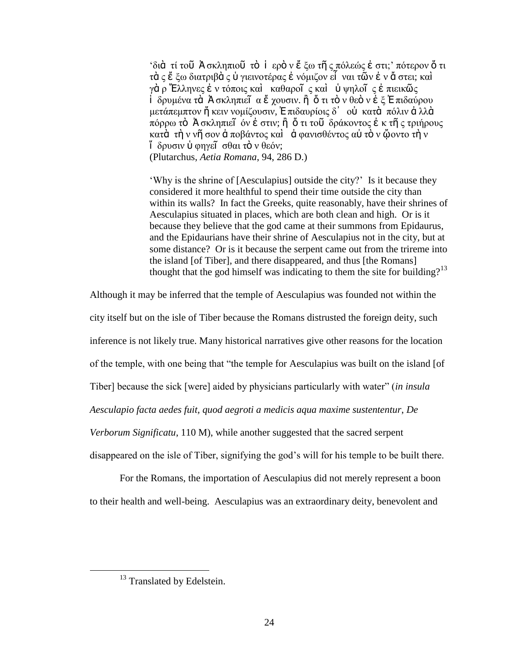'διά τί τοῦ Ἀ σκληπιοῦ τ[ὸ](http://www.perseus.tufts.edu/hopper/morph?l=to%5C&la=greek&can=to%5C2&prior=*%29asklhpiou=) ἱ ερὸ ν ἔ ξω τ[ῆ](http://www.perseus.tufts.edu/hopper/morph?l=th%3Ds&la=greek&can=th%3Ds0&prior=e%29/cw) ς πόλεώς ἐ στι;' πότερον ὅ τι τά ς ἕ ξω διατριβά ς ὑ γιεινοτέρας ἐ νόμιζον εἶ ναι τ[ῶ](http://www.perseus.tufts.edu/hopper/morph?l=tw%3Dn&la=greek&can=tw%3Dn0&prior=ei%29=nai)ν [ἐ](http://www.perseus.tufts.edu/hopper/morph?l=e%29n&la=greek&can=e%29n0&prior=tw=n) ν ἄ στει; καὶ γ[ὰ](http://www.perseus.tufts.edu/hopper/morph?l=ga%5Cr&la=greek&can=ga%5Cr0&prior=kai%5C) ρ Ἐλληνες [ἐ](http://www.perseus.tufts.edu/hopper/morph?l=e%29n&la=greek&can=e%29n1&prior=*%28/ellhnes) ν τόποις καὶ κα[θα](http://www.perseus.tufts.edu/hopper/morph?l=kai%5C&la=greek&can=kai%5C2&prior=kaqaroi=s)ροῖ ς καὶ ὑ ψηλοῖς ἐ πιεικῶς ί δρυμένα τ[ὰ](http://www.perseus.tufts.edu/hopper/morph?l=ta%5C&la=greek&can=ta%5C0&prior=i%28drume/na) Ἀ σκληπιεῖ α ἔ χουσιν. [ἢ](http://www.perseus.tufts.edu/hopper/morph?l=h%29%5C&la=greek&can=h%29%5C0&prior=e%29/xousin) ὅ τι τ[ὸ](http://www.perseus.tufts.edu/hopper/morph?l=to%5Cn&la=greek&can=to%5Cn0&prior=o%28/ti) ν θεὸ ν [ἐ](http://www.perseus.tufts.edu/hopper/morph?l=e%29c&la=greek&can=e%29c0&prior=qeo%5Cn) ξ Ἐ πιδαύρου μετάπεμπτον ἥ κειν νομίζουσιν, Ἐπι[δ](http://www.perseus.tufts.edu/hopper/morph?l=d%27&la=greek&can=d%270&prior=*%29epidauri/ois)αυρίοις δ' ο[ὐ](http://www.perseus.tufts.edu/hopper/morph?l=ou%29&la=greek&can=ou%290&prior=d%27) κατά πόλιν ἀ λλά πόρρω τ[ὸ](http://www.perseus.tufts.edu/hopper/morph?l=to%5C&la=greek&can=to%5C0&prior=po/rrw) Ἀ σκληπιεῖ όν ἐ στιν; [ἢ](http://www.perseus.tufts.edu/hopper/morph?l=h%29%5C&la=greek&can=h%29%5C1&prior=e%29stin) ὅ τι τοῦ δράκοντος ἐ κ τ[ῆ](http://www.perseus.tufts.edu/hopper/morph?l=th%3Ds&la=greek&can=th%3Ds0&prior=e%29k) ς τριήρους κατά τ[ὴ](http://www.perseus.tufts.edu/hopper/morph?l=th%5Cn&la=greek&can=th%5Cn1&prior=w%29/%7Conto) ν νῆ σον ἀ ποβάντος καὶ ἀ φανισθέντος α[ὐ](http://www.perseus.tufts.edu/hopper/morph?l=au%29to%5Cn&la=greek&can=au%29to%5Cn0&prior=a%29fanisqe/ntos) τὸ ν ὤοντο τὴ ν ι δρυσιν ὑ φηγεῖ σθαι τ[ὸ](http://www.perseus.tufts.edu/hopper/morph?l=to%5Cn&la=greek&can=to%5Cn1&prior=u%28fhgei=sqai) ν θεόν; (Plutarchus, *Aetia Romana*, 94, 286 D.)

"Why is the shrine of [Aesculapius] outside the city?" Is it because they considered it more healthful to spend their time outside the city than within its walls? In fact the Greeks, quite reasonably, have their shrines of Aesculapius situated in places, which are both clean and high. Or is it because they believe that the god came at their summons from Epidaurus, and the Epidaurians have their shrine of Aesculapius not in the city, but at some distance? Or is it because the serpent came out from the trireme into the island [of Tiber], and there disappeared, and thus [the Romans] thought that the god himself was indicating to them the site for building?<sup>13</sup>

Although it may be inferred that the temple of Aesculapius was founded not within the

city itself but on the isle of Tiber because the Romans distrusted the foreign deity, such

inference is not likely true. Many historical narratives give other reasons for the location

of the temple, with one being that "the temple for Aesculapius was built on the island [of

Tiber] because the sick [were] aided by physicians particularly with water" (*in insula* 

*Aesculapio facta aedes fuit, quod aegroti a medicis aqua maxime sustententur*, *De* 

*Verborum Significatu*, 110 M), while another suggested that the sacred serpent

disappeared on the isle of Tiber, signifying the god's will for his temple to be built there.

For the Romans, the importation of Aesculapius did not merely represent a boon to their health and well-being. Aesculapius was an extraordinary deity, benevolent and

<sup>&</sup>lt;sup>13</sup> Translated by Edelstein.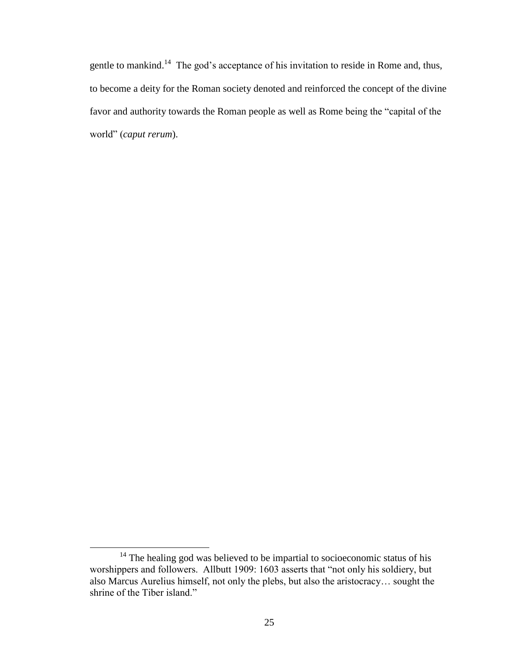gentle to mankind.<sup>14</sup> The god's acceptance of his invitation to reside in Rome and, thus, to become a deity for the Roman society denoted and reinforced the concept of the divine favor and authority towards the Roman people as well as Rome being the "capital of the world" (*caput rerum*).

<sup>&</sup>lt;sup>14</sup> The healing god was believed to be impartial to socioeconomic status of his worshippers and followers. Allbutt 1909: 1603 asserts that "not only his soldiery, but also Marcus Aurelius himself, not only the plebs, but also the aristocracy… sought the shrine of the Tiber island."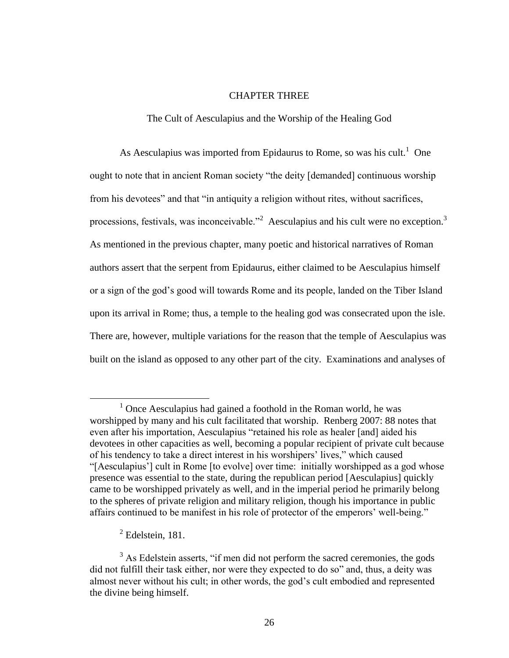#### CHAPTER THREE

The Cult of Aesculapius and the Worship of the Healing God

As Aesculapius was imported from Epidaurus to Rome, so was his cult.<sup>1</sup> One ought to note that in ancient Roman society "the deity [demanded] continuous worship from his devotees" and that "in antiquity a religion without rites, without sacrifices, processions, festivals, was inconceivable.<sup>22</sup> Aesculapius and his cult were no exception.<sup>3</sup> As mentioned in the previous chapter, many poetic and historical narratives of Roman authors assert that the serpent from Epidaurus, either claimed to be Aesculapius himself or a sign of the god"s good will towards Rome and its people, landed on the Tiber Island upon its arrival in Rome; thus, a temple to the healing god was consecrated upon the isle. There are, however, multiple variations for the reason that the temple of Aesculapius was built on the island as opposed to any other part of the city. Examinations and analyses of

<sup>&</sup>lt;sup>1</sup> Once Aesculapius had gained a foothold in the Roman world, he was worshipped by many and his cult facilitated that worship. Renberg 2007: 88 notes that even after his importation, Aesculapius "retained his role as healer [and] aided his devotees in other capacities as well, becoming a popular recipient of private cult because of his tendency to take a direct interest in his worshipers" lives," which caused "[Aesculapius"] cult in Rome [to evolve] over time: initially worshipped as a god whose presence was essential to the state, during the republican period [Aesculapius] quickly came to be worshipped privately as well, and in the imperial period he primarily belong to the spheres of private religion and military religion, though his importance in public affairs continued to be manifest in his role of protector of the emperors' well-being."

 $2$  Edelstein, 181.

 $3$  As Edelstein asserts, "if men did not perform the sacred ceremonies, the gods did not fulfill their task either, nor were they expected to do so" and, thus, a deity was almost never without his cult; in other words, the god"s cult embodied and represented the divine being himself.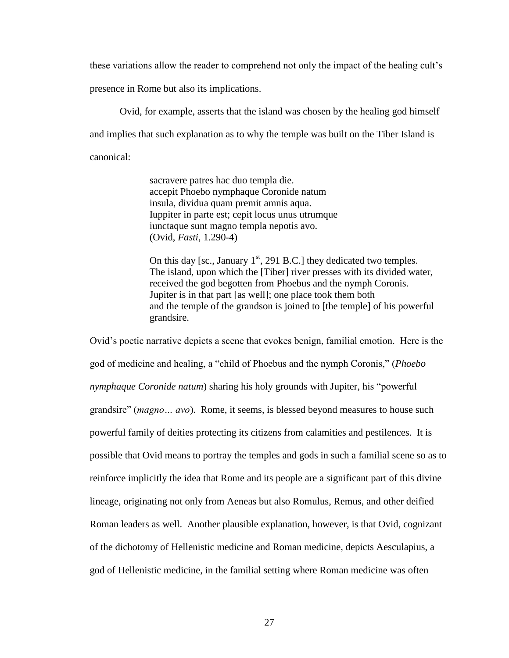these variations allow the reader to comprehend not only the impact of the healing cult"s

presence in Rome but also its implications.

Ovid, for example, asserts that the island was chosen by the healing god himself and implies that such explanation as to why the temple was built on the Tiber Island is canonical:

> sacravere patres hac duo templa die. accepit Phoebo nymphaque Coronide natum insula, dividua quam premit amnis aqua. Iuppiter in parte est; cepit locus unus utrumque iunctaque sunt magno templa nepotis avo. (Ovid, *Fasti*, 1.290-4)

On this day [sc., January  $1<sup>st</sup>$ , 291 B.C.] they dedicated two temples. The island, upon which the [Tiber] river presses with its divided water, received the god begotten from Phoebus and the nymph Coronis. Jupiter is in that part [as well]; one place took them both and the temple of the grandson is joined to [the temple] of his powerful grandsire.

Ovid"s poetic narrative depicts a scene that evokes benign, familial emotion. Here is the god of medicine and healing, a "child of Phoebus and the nymph Coronis," (*Phoebo nymphaque Coronide natum*) sharing his holy grounds with Jupiter, his "powerful grandsire" (*magno… avo*). Rome, it seems, is blessed beyond measures to house such powerful family of deities protecting its citizens from calamities and pestilences. It is possible that Ovid means to portray the temples and gods in such a familial scene so as to reinforce implicitly the idea that Rome and its people are a significant part of this divine lineage, originating not only from Aeneas but also Romulus, Remus, and other deified Roman leaders as well. Another plausible explanation, however, is that Ovid, cognizant of the dichotomy of Hellenistic medicine and Roman medicine, depicts Aesculapius, a god of Hellenistic medicine, in the familial setting where Roman medicine was often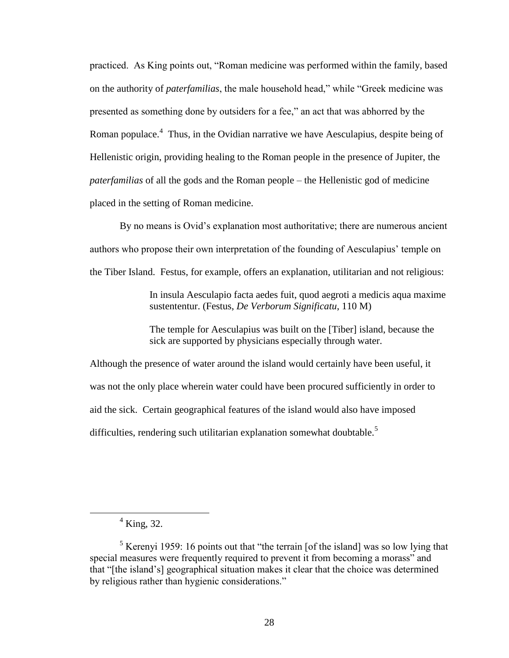practiced. As King points out, "Roman medicine was performed within the family, based on the authority of *paterfamilias*, the male household head," while "Greek medicine was presented as something done by outsiders for a fee," an act that was abhorred by the Roman populace.<sup>4</sup> Thus, in the Ovidian narrative we have Aesculapius, despite being of Hellenistic origin, providing healing to the Roman people in the presence of Jupiter, the *paterfamilias* of all the gods and the Roman people – the Hellenistic god of medicine placed in the setting of Roman medicine.

By no means is Ovid"s explanation most authoritative; there are numerous ancient authors who propose their own interpretation of the founding of Aesculapius" temple on the Tiber Island. Festus, for example, offers an explanation, utilitarian and not religious:

> In insula Aesculapio facta aedes fuit, quod aegroti a medicis aqua maxime sustententur. (Festus, *De Verborum Significatu*, 110 M)

The temple for Aesculapius was built on the [Tiber] island, because the sick are supported by physicians especially through water.

Although the presence of water around the island would certainly have been useful, it was not the only place wherein water could have been procured sufficiently in order to aid the sick. Certain geographical features of the island would also have imposed difficulties, rendering such utilitarian explanation somewhat doubtable.<sup>5</sup>

<sup>4</sup> King, 32.

<sup>&</sup>lt;sup>5</sup> Kerenyi 1959: 16 points out that "the terrain [of the island] was so low lying that special measures were frequently required to prevent it from becoming a morass" and that "[the island"s] geographical situation makes it clear that the choice was determined by religious rather than hygienic considerations."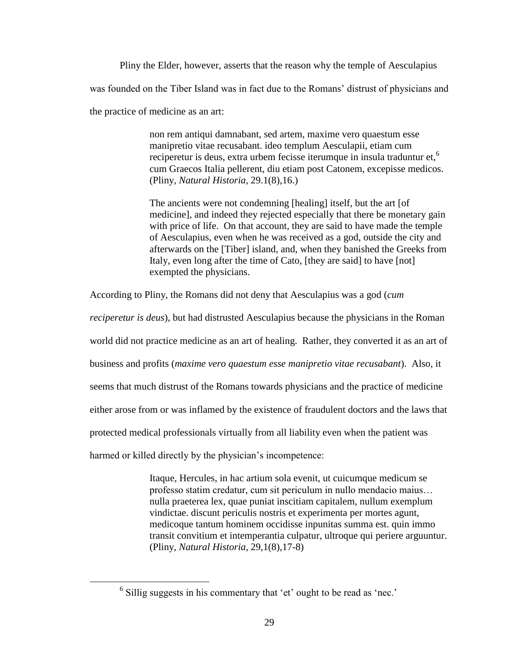Pliny the Elder, however, asserts that the reason why the temple of Aesculapius was founded on the Tiber Island was in fact due to the Romans" distrust of physicians and the practice of medicine as an art:

> non rem antiqui damnabant, sed artem, maxime vero quaestum esse manipretio vitae recusabant. ideo templum Aesculapii, etiam cum reciperetur is deus, extra urbem fecisse iterumque in insula traduntur et,<sup>6</sup> cum Graecos Italia pellerent, diu etiam post Catonem, excepisse medicos. (Pliny, *Natural Historia*, 29.1(8),16.)

The ancients were not condemning [healing] itself, but the art [of medicine], and indeed they rejected especially that there be monetary gain with price of life. On that account, they are said to have made the temple of Aesculapius, even when he was received as a god, outside the city and afterwards on the [Tiber] island, and, when they banished the Greeks from Italy, even long after the time of Cato, [they are said] to have [not] exempted the physicians.

According to Pliny, the Romans did not deny that Aesculapius was a god (*cum* 

*reciperetur is deus*), but had distrusted Aesculapius because the physicians in the Roman

world did not practice medicine as an art of healing. Rather, they converted it as an art of

business and profits (*maxime vero quaestum esse manipretio vitae recusabant*). Also, it

seems that much distrust of the Romans towards physicians and the practice of medicine

either arose from or was inflamed by the existence of fraudulent doctors and the laws that

protected medical professionals virtually from all liability even when the patient was

harmed or killed directly by the physician's incompetence:

 $\overline{a}$ 

Itaque, Hercules, in hac artium sola evenit, ut cuicumque medicum se professo statim credatur, cum sit periculum in nullo mendacio maius… nulla praeterea lex, quae puniat inscitiam capitalem, nullum exemplum vindictae. discunt periculis nostris et experimenta per mortes agunt, medicoque tantum hominem occidisse inpunitas summa est. quin immo transit convitium et intemperantia culpatur, ultroque qui periere arguuntur. (Pliny, *Natural Historia*, 29,1(8),17-8)

<sup>&</sup>lt;sup>6</sup> Sillig suggests in his commentary that 'et' ought to be read as 'nec.'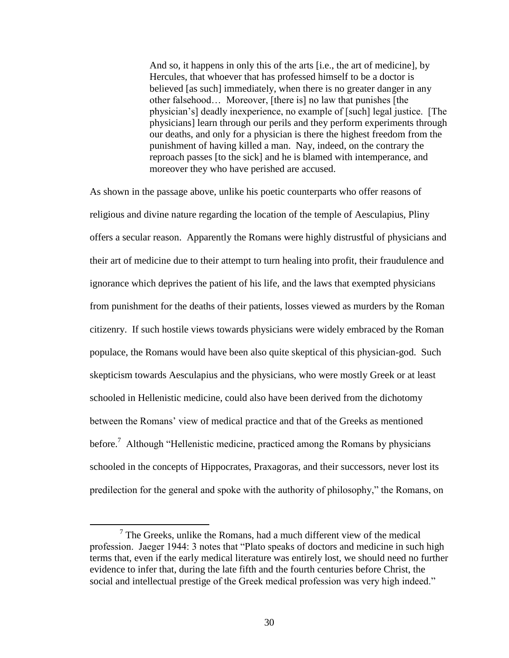And so, it happens in only this of the arts [i.e., the art of medicine], by Hercules, that whoever that has professed himself to be a doctor is believed [as such] immediately, when there is no greater danger in any other falsehood… Moreover, [there is] no law that punishes [the physician"s] deadly inexperience, no example of [such] legal justice. [The physicians] learn through our perils and they perform experiments through our deaths, and only for a physician is there the highest freedom from the punishment of having killed a man. Nay, indeed, on the contrary the reproach passes [to the sick] and he is blamed with intemperance, and moreover they who have perished are accused.

As shown in the passage above, unlike his poetic counterparts who offer reasons of religious and divine nature regarding the location of the temple of Aesculapius, Pliny offers a secular reason. Apparently the Romans were highly distrustful of physicians and their art of medicine due to their attempt to turn healing into profit, their fraudulence and ignorance which deprives the patient of his life, and the laws that exempted physicians from punishment for the deaths of their patients, losses viewed as murders by the Roman citizenry. If such hostile views towards physicians were widely embraced by the Roman populace, the Romans would have been also quite skeptical of this physician-god. Such skepticism towards Aesculapius and the physicians, who were mostly Greek or at least schooled in Hellenistic medicine, could also have been derived from the dichotomy between the Romans" view of medical practice and that of the Greeks as mentioned before.<sup>7</sup> Although "Hellenistic medicine, practiced among the Romans by physicians schooled in the concepts of Hippocrates, Praxagoras, and their successors, never lost its predilection for the general and spoke with the authority of philosophy," the Romans, on

 $7$  The Greeks, unlike the Romans, had a much different view of the medical profession. Jaeger 1944: 3 notes that "Plato speaks of doctors and medicine in such high terms that, even if the early medical literature was entirely lost, we should need no further evidence to infer that, during the late fifth and the fourth centuries before Christ, the social and intellectual prestige of the Greek medical profession was very high indeed."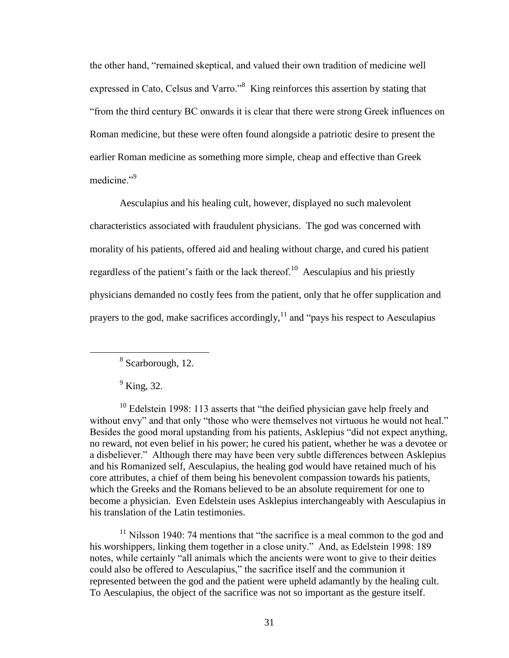the other hand, "remained skeptical, and valued their own tradition of medicine well expressed in Cato, Celsus and Varro."<sup>8</sup> King reinforces this assertion by stating that "from the third century BC onwards it is clear that there were strong Greek influences on Roman medicine, but these were often found alongside a patriotic desire to present the earlier Roman medicine as something more simple, cheap and effective than Greek medicine."<sup>9</sup>

Aesculapius and his healing cult, however, displayed no such malevolent characteristics associated with fraudulent physicians. The god was concerned with morality of his patients, offered aid and healing without charge, and cured his patient regardless of the patient's faith or the lack thereof.<sup>10</sup> Aesculapius and his priestly physicians demanded no costly fees from the patient, only that he offer supplication and prayers to the god, make sacrifices accordingly,  $^{11}$  and "pays his respect to Aesculapius

 $\overline{a}$ 

<sup>10</sup> Edelstein 1998: 113 asserts that "the deified physician gave help freely and without envy" and that only "those who were themselves not virtuous he would not heal." Besides the good moral upstanding from his patients, Asklepius "did not expect anything, no reward, not even belief in his power; he cured his patient, whether he was a devotee or a disbeliever." Although there may have been very subtle differences between Asklepius and his Romanized self, Aesculapius, the healing god would have retained much of his core attributes, a chief of them being his benevolent compassion towards his patients, which the Greeks and the Romans believed to be an absolute requirement for one to become a physician. Even Edelstein uses Asklepius interchangeably with Aesculapius in his translation of the Latin testimonies.

 $11$  Nilsson 1940: 74 mentions that "the sacrifice is a meal common to the god and his worshippers, linking them together in a close unity." And, as Edelstein 1998: 189 notes, while certainly "all animals which the ancients were wont to give to their deities could also be offered to Aesculapius," the sacrifice itself and the communion it represented between the god and the patient were upheld adamantly by the healing cult. To Aesculapius, the object of the sacrifice was not so important as the gesture itself.

<sup>&</sup>lt;sup>8</sup> Scarborough, 12.

 $<sup>9</sup>$  King, 32.</sup>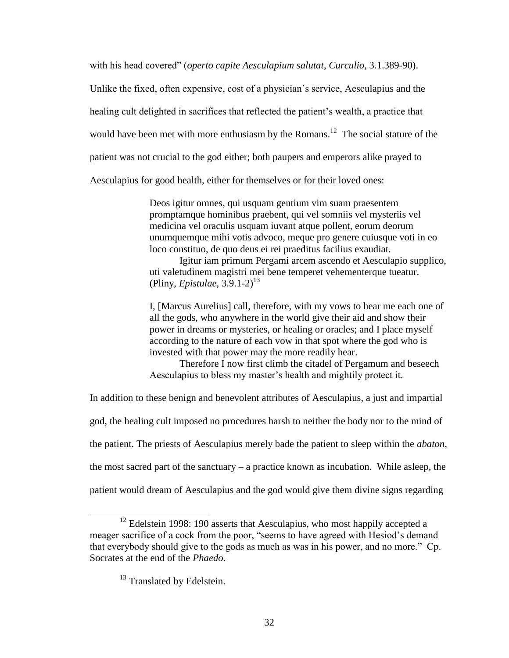with his head covered" (*operto capite Aesculapium salutat*, *Curculio*, 3.1.389-90).

Unlike the fixed, often expensive, cost of a physician"s service, Aesculapius and the healing cult delighted in sacrifices that reflected the patient's wealth, a practice that would have been met with more enthusiasm by the Romans.<sup>12</sup> The social stature of the patient was not crucial to the god either; both paupers and emperors alike prayed to Aesculapius for good health, either for themselves or for their loved ones:

> Deos igitur omnes, qui usquam gentium vim suam praesentem promptamque hominibus praebent, qui vel somniis vel mysteriis vel medicina vel oraculis usquam iuvant atque pollent, eorum deorum unumquemque mihi votis advoco, meque pro genere cuiusque voti in eo loco constituo, de quo deus ei rei praeditus facilius exaudiat.

Igitur iam primum Pergami arcem ascendo et Aesculapio supplico, uti valetudinem magistri mei bene temperet vehementerque tueatur. (Pliny, *Epistulae*, 3.9.1-2)<sup>13</sup>

I, [Marcus Aurelius] call, therefore, with my vows to hear me each one of all the gods, who anywhere in the world give their aid and show their power in dreams or mysteries, or healing or oracles; and I place myself according to the nature of each vow in that spot where the god who is invested with that power may the more readily hear.

Therefore I now first climb the citadel of Pergamum and beseech Aesculapius to bless my master"s health and mightily protect it.

In addition to these benign and benevolent attributes of Aesculapius, a just and impartial

god, the healing cult imposed no procedures harsh to neither the body nor to the mind of

the patient. The priests of Aesculapius merely bade the patient to sleep within the *abaton*,

the most sacred part of the sanctuary – a practice known as incubation. While asleep, the

patient would dream of Aesculapius and the god would give them divine signs regarding

 $12$  Edelstein 1998: 190 asserts that Aesculapius, who most happily accepted a meager sacrifice of a cock from the poor, "seems to have agreed with Hesiod"s demand that everybody should give to the gods as much as was in his power, and no more." Cp. Socrates at the end of the *Phaedo*.

<sup>&</sup>lt;sup>13</sup> Translated by Edelstein.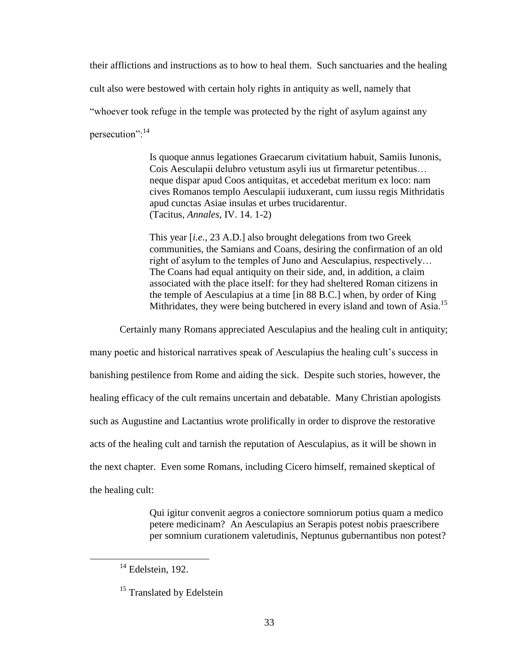their afflictions and instructions as to how to heal them. Such sanctuaries and the healing

cult also were bestowed with certain holy rights in antiquity as well, namely that

"whoever took refuge in the temple was protected by the right of asylum against any

persecution":<sup>14</sup>

Is quoque annus legationes Graecarum civitatium habuit, Samiis Iunonis, Cois Aesculapii delubro vetustum asyli ius ut firmaretur petentibus… neque dispar apud Coos antiquitas, et accedebat meritum ex loco: nam cives Romanos templo Aesculapii iuduxerant, cum iussu regis Mithridatis apud cunctas Asiae insulas et urbes trucidarentur. (Tacitus, *Annales*, IV. 14. 1-2)

This year [*i.e.,* 23 A.D.] also brought delegations from two Greek communities, the Samians and Coans, desiring the confirmation of an old right of asylum to the temples of Juno and Aesculapius, respectively… The Coans had equal antiquity on their side, and, in addition, a claim associated with the place itself: for they had sheltered Roman citizens in the temple of Aesculapius at a time [in 88 B.C.] when, by order of King Mithridates, they were being butchered in every island and town of Asia.<sup>15</sup>

Certainly many Romans appreciated Aesculapius and the healing cult in antiquity; many poetic and historical narratives speak of Aesculapius the healing cult's success in banishing pestilence from Rome and aiding the sick. Despite such stories, however, the healing efficacy of the cult remains uncertain and debatable. Many Christian apologists such as Augustine and Lactantius wrote prolifically in order to disprove the restorative acts of the healing cult and tarnish the reputation of Aesculapius, as it will be shown in the next chapter. Even some Romans, including Cicero himself, remained skeptical of

the healing cult:

 $\overline{a}$ 

Qui igitur convenit aegros a coniectore somniorum potius quam a medico petere medicinam? An Aesculapius an Serapis potest nobis praescribere per somnium curationem valetudinis, Neptunus gubernantibus non potest?

 $14$  Edelstein, 192.

<sup>&</sup>lt;sup>15</sup> Translated by Edelstein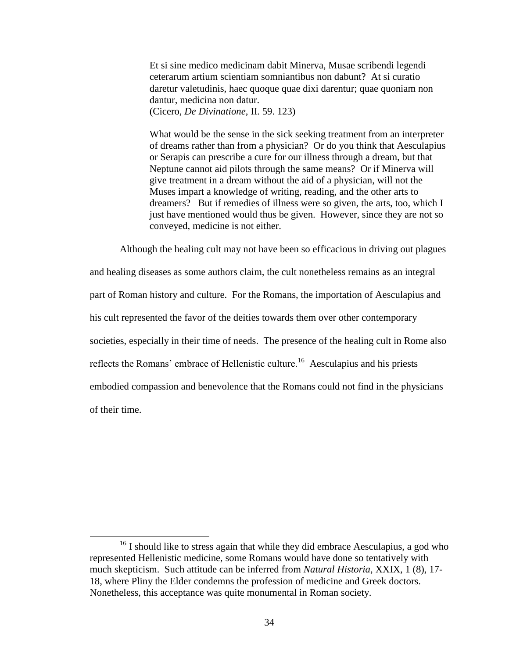Et si sine medico medicinam dabit Minerva, Musae scribendi legendi ceterarum artium scientiam somniantibus non dabunt? At si curatio daretur valetudinis, haec quoque quae dixi darentur; quae quoniam non dantur, medicina non datur. (Cicero, *De Divinatione*, II. 59. 123)

What would be the sense in the sick seeking treatment from an interpreter of dreams rather than from a physician? Or do you think that Aesculapius or Serapis can prescribe a cure for our illness through a dream, but that Neptune cannot aid pilots through the same means? Or if Minerva will give treatment in a dream without the aid of a physician, will not the Muses impart a knowledge of writing, reading, and the other arts to dreamers? But if remedies of illness were so given, the arts, too, which I just have mentioned would thus be given. However, since they are not so conveyed, medicine is not either.

Although the healing cult may not have been so efficacious in driving out plagues

and healing diseases as some authors claim, the cult nonetheless remains as an integral part of Roman history and culture. For the Romans, the importation of Aesculapius and his cult represented the favor of the deities towards them over other contemporary societies, especially in their time of needs. The presence of the healing cult in Rome also reflects the Romans' embrace of Hellenistic culture.<sup>16</sup> Aesculapius and his priests embodied compassion and benevolence that the Romans could not find in the physicians of their time.

 $16$  I should like to stress again that while they did embrace Aesculapius, a god who represented Hellenistic medicine, some Romans would have done so tentatively with much skepticism. Such attitude can be inferred from *Natural Historia*, XXIX, 1 (8), 17- 18, where Pliny the Elder condemns the profession of medicine and Greek doctors. Nonetheless, this acceptance was quite monumental in Roman society.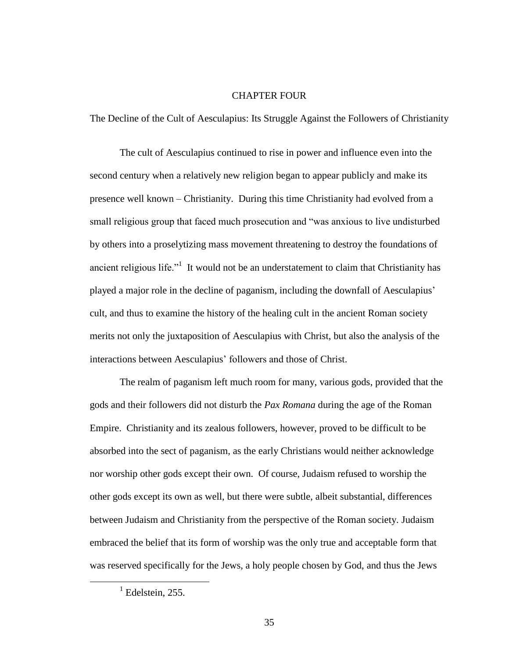### CHAPTER FOUR

The Decline of the Cult of Aesculapius: Its Struggle Against the Followers of Christianity

The cult of Aesculapius continued to rise in power and influence even into the second century when a relatively new religion began to appear publicly and make its presence well known – Christianity. During this time Christianity had evolved from a small religious group that faced much prosecution and "was anxious to live undisturbed by others into a proselytizing mass movement threatening to destroy the foundations of ancient religious life."<sup>1</sup> It would not be an understatement to claim that Christianity has played a major role in the decline of paganism, including the downfall of Aesculapius" cult, and thus to examine the history of the healing cult in the ancient Roman society merits not only the juxtaposition of Aesculapius with Christ, but also the analysis of the interactions between Aesculapius' followers and those of Christ.

The realm of paganism left much room for many, various gods, provided that the gods and their followers did not disturb the *Pax Romana* during the age of the Roman Empire. Christianity and its zealous followers, however, proved to be difficult to be absorbed into the sect of paganism, as the early Christians would neither acknowledge nor worship other gods except their own. Of course, Judaism refused to worship the other gods except its own as well, but there were subtle, albeit substantial, differences between Judaism and Christianity from the perspective of the Roman society. Judaism embraced the belief that its form of worship was the only true and acceptable form that was reserved specifically for the Jews, a holy people chosen by God, and thus the Jews

 $<sup>1</sup>$  Edelstein, 255.</sup>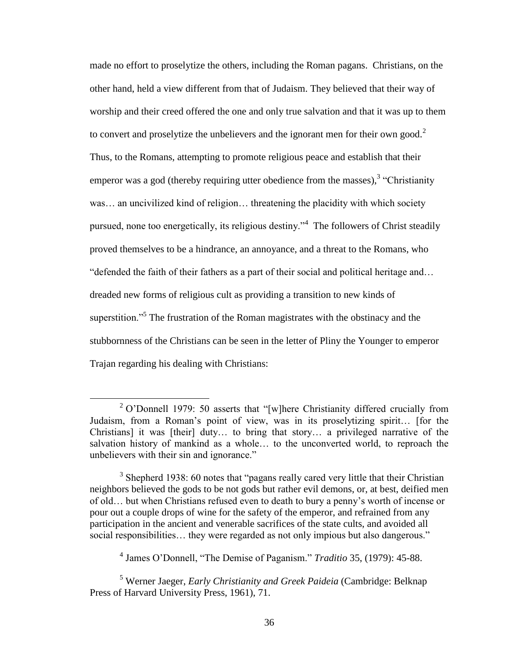made no effort to proselytize the others, including the Roman pagans. Christians, on the other hand, held a view different from that of Judaism. They believed that their way of worship and their creed offered the one and only true salvation and that it was up to them to convert and proselytize the unbelievers and the ignorant men for their own good.<sup>2</sup> Thus, to the Romans, attempting to promote religious peace and establish that their emperor was a god (thereby requiring utter obedience from the masses),  $3$  "Christianity was... an uncivilized kind of religion... threatening the placidity with which society pursued, none too energetically, its religious destiny."<sup>4</sup> The followers of Christ steadily proved themselves to be a hindrance, an annoyance, and a threat to the Romans, who "defended the faith of their fathers as a part of their social and political heritage and… dreaded new forms of religious cult as providing a transition to new kinds of superstition."<sup>5</sup> The frustration of the Roman magistrates with the obstinacy and the stubbornness of the Christians can be seen in the letter of Pliny the Younger to emperor Trajan regarding his dealing with Christians:

<sup>&</sup>lt;sup>2</sup> O'Donnell 1979: 50 asserts that "[w]here Christianity differed crucially from Judaism, from a Roman"s point of view, was in its proselytizing spirit… [for the Christians] it was [their] duty… to bring that story… a privileged narrative of the salvation history of mankind as a whole… to the unconverted world, to reproach the unbelievers with their sin and ignorance."

<sup>&</sup>lt;sup>3</sup> Shepherd 1938: 60 notes that "pagans really cared very little that their Christian neighbors believed the gods to be not gods but rather evil demons, or, at best, deified men of old… but when Christians refused even to death to bury a penny"s worth of incense or pour out a couple drops of wine for the safety of the emperor, and refrained from any participation in the ancient and venerable sacrifices of the state cults, and avoided all social responsibilities… they were regarded as not only impious but also dangerous."

<sup>4</sup> James O"Donnell, "The Demise of Paganism." *Traditio* 35, (1979): 45-88.

<sup>5</sup> Werner Jaeger, *Early Christianity and Greek Paideia* (Cambridge: Belknap Press of Harvard University Press, 1961), 71.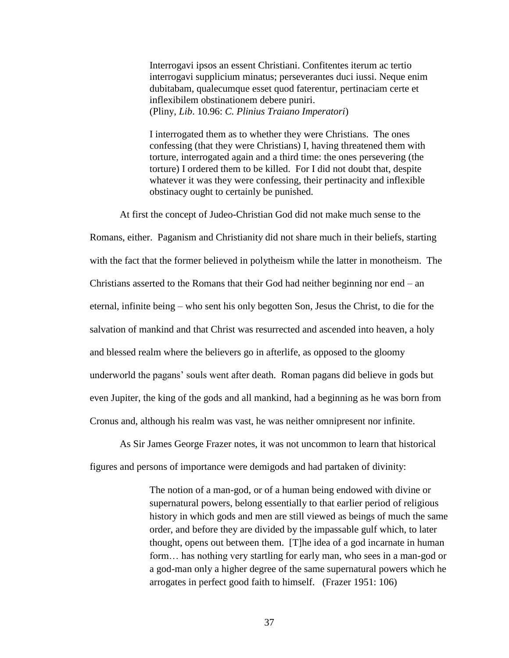Interrogavi ipsos an essent Christiani. Confitentes iterum ac tertio interrogavi supplicium minatus; perseverantes duci iussi. Neque enim dubitabam, qualecumque esset quod faterentur, pertinaciam certe et inflexibilem obstinationem debere puniri. (Pliny, *Lib*. 10.96: *C. Plinius Traiano Imperatori*)

I interrogated them as to whether they were Christians. The ones confessing (that they were Christians) I, having threatened them with torture, interrogated again and a third time: the ones persevering (the torture) I ordered them to be killed. For I did not doubt that, despite whatever it was they were confessing, their pertinacity and inflexible obstinacy ought to certainly be punished.

At first the concept of Judeo-Christian God did not make much sense to the Romans, either. Paganism and Christianity did not share much in their beliefs, starting with the fact that the former believed in polytheism while the latter in monotheism. The Christians asserted to the Romans that their God had neither beginning nor end – an eternal, infinite being – who sent his only begotten Son, Jesus the Christ, to die for the salvation of mankind and that Christ was resurrected and ascended into heaven, a holy and blessed realm where the believers go in afterlife, as opposed to the gloomy underworld the pagans" souls went after death. Roman pagans did believe in gods but even Jupiter, the king of the gods and all mankind, had a beginning as he was born from Cronus and, although his realm was vast, he was neither omnipresent nor infinite.

As Sir James George Frazer notes, it was not uncommon to learn that historical figures and persons of importance were demigods and had partaken of divinity:

> The notion of a man-god, or of a human being endowed with divine or supernatural powers, belong essentially to that earlier period of religious history in which gods and men are still viewed as beings of much the same order, and before they are divided by the impassable gulf which, to later thought, opens out between them. [T]he idea of a god incarnate in human form… has nothing very startling for early man, who sees in a man-god or a god-man only a higher degree of the same supernatural powers which he arrogates in perfect good faith to himself. (Frazer 1951: 106)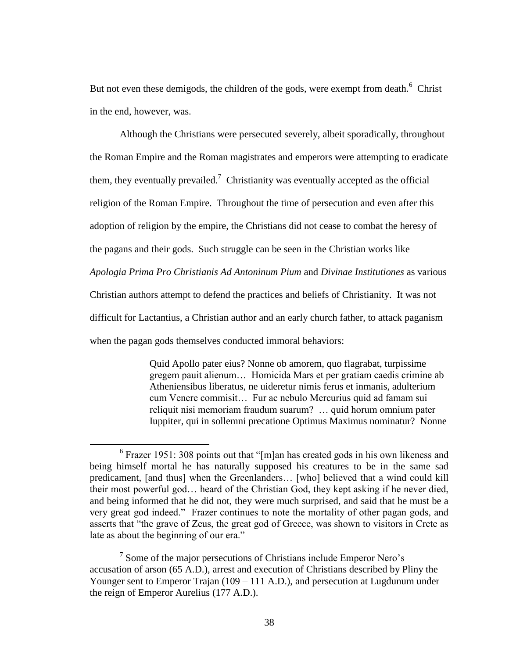But not even these demigods, the children of the gods, were exempt from death.<sup>6</sup> Christ in the end, however, was.

Although the Christians were persecuted severely, albeit sporadically, throughout the Roman Empire and the Roman magistrates and emperors were attempting to eradicate them, they eventually prevailed.<sup>7</sup> Christianity was eventually accepted as the official religion of the Roman Empire. Throughout the time of persecution and even after this adoption of religion by the empire, the Christians did not cease to combat the heresy of the pagans and their gods. Such struggle can be seen in the Christian works like *Apologia Prima Pro Christianis Ad Antoninum Pium* and *Divinae Institutiones* as various Christian authors attempt to defend the practices and beliefs of Christianity. It was not difficult for Lactantius, a Christian author and an early church father, to attack paganism when the pagan gods themselves conducted immoral behaviors:

> Quid Apollo pater eius? Nonne ob amorem, quo flagrabat, turpissime gregem pauit alienum… Homicida Mars et per gratiam caedis crimine ab Atheniensibus liberatus, ne uideretur nimis ferus et inmanis, adulterium cum Venere commisit… Fur ac nebulo Mercurius quid ad famam sui reliquit nisi memoriam fraudum suarum? … quid horum omnium pater Iuppiter, qui in sollemni precatione Optimus Maximus nominatur? Nonne

 $6$  Frazer 1951: 308 points out that "[m]an has created gods in his own likeness and being himself mortal he has naturally supposed his creatures to be in the same sad predicament, [and thus] when the Greenlanders… [who] believed that a wind could kill their most powerful god… heard of the Christian God, they kept asking if he never died, and being informed that he did not, they were much surprised, and said that he must be a very great god indeed." Frazer continues to note the mortality of other pagan gods, and asserts that "the grave of Zeus, the great god of Greece, was shown to visitors in Crete as late as about the beginning of our era."

 $7$  Some of the major persecutions of Christians include Emperor Nero's accusation of arson (65 A.D.), arrest and execution of Christians described by Pliny the Younger sent to Emperor Trajan (109 – 111 A.D.), and persecution at Lugdunum under the reign of Emperor Aurelius (177 A.D.).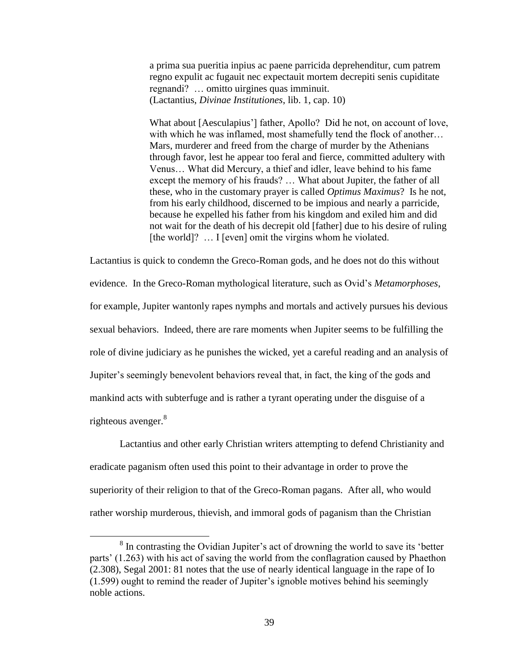a prima sua pueritia inpius ac paene parricida deprehenditur, cum patrem regno expulit ac fugauit nec expectauit mortem decrepiti senis cupiditate regnandi? … omitto uirgines quas imminuit. (Lactantius, *Divinae Institutiones*, lib. 1, cap. 10)

What about [Aesculapius'] father, Apollo? Did he not, on account of love, with which he was inflamed, most shamefully tend the flock of another… Mars, murderer and freed from the charge of murder by the Athenians through favor, lest he appear too feral and fierce, committed adultery with Venus… What did Mercury, a thief and idler, leave behind to his fame except the memory of his frauds? … What about Jupiter, the father of all these, who in the customary prayer is called *Optimus Maximus*? Is he not, from his early childhood, discerned to be impious and nearly a parricide, because he expelled his father from his kingdom and exiled him and did not wait for the death of his decrepit old [father] due to his desire of ruling [the world]? ... I [even] omit the virgins whom he violated.

Lactantius is quick to condemn the Greco-Roman gods, and he does not do this without evidence. In the Greco-Roman mythological literature, such as Ovid"s *Metamorphoses*, for example, Jupiter wantonly rapes nymphs and mortals and actively pursues his devious sexual behaviors. Indeed, there are rare moments when Jupiter seems to be fulfilling the role of divine judiciary as he punishes the wicked, yet a careful reading and an analysis of Jupiter"s seemingly benevolent behaviors reveal that, in fact, the king of the gods and mankind acts with subterfuge and is rather a tyrant operating under the disguise of a righteous avenger.<sup>8</sup>

Lactantius and other early Christian writers attempting to defend Christianity and eradicate paganism often used this point to their advantage in order to prove the superiority of their religion to that of the Greco-Roman pagans. After all, who would rather worship murderous, thievish, and immoral gods of paganism than the Christian

<sup>&</sup>lt;sup>8</sup> In contrasting the Ovidian Jupiter's act of drowning the world to save its 'better parts" (1.263) with his act of saving the world from the conflagration caused by Phaethon (2.308), Segal 2001: 81 notes that the use of nearly identical language in the rape of Io (1.599) ought to remind the reader of Jupiter"s ignoble motives behind his seemingly noble actions.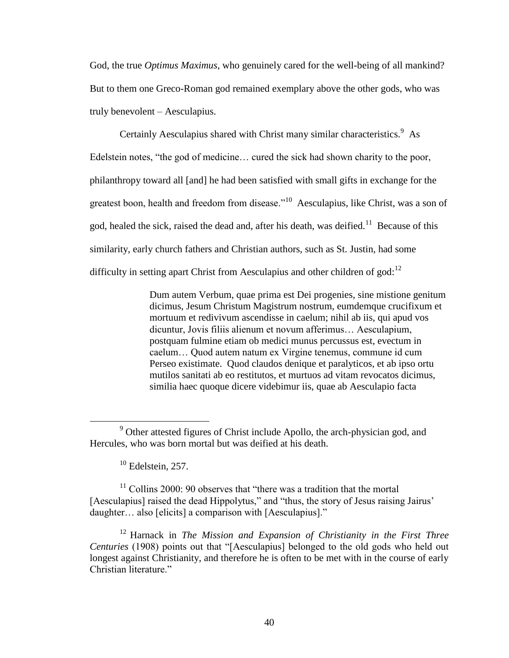God, the true *Optimus Maximus*, who genuinely cared for the well-being of all mankind? But to them one Greco-Roman god remained exemplary above the other gods, who was truly benevolent – Aesculapius.

Certainly Aesculapius shared with Christ many similar characteristics.<sup>9</sup> As Edelstein notes, "the god of medicine… cured the sick had shown charity to the poor, philanthropy toward all [and] he had been satisfied with small gifts in exchange for the greatest boon, health and freedom from disease."<sup>10</sup> Aesculapius, like Christ, was a son of god, healed the sick, raised the dead and, after his death, was deified.<sup>11</sup> Because of this similarity, early church fathers and Christian authors, such as St. Justin, had some difficulty in setting apart Christ from Aesculapius and other children of god: $12$ 

> Dum autem Verbum, quae prima est Dei progenies, sine mistione genitum dicimus, Jesum Christum Magistrum nostrum, eumdemque crucifixum et mortuum et redivivum ascendisse in caelum; nihil ab iis, qui apud vos dicuntur, Jovis filiis alienum et novum afferimus… Aesculapium, postquam fulmine etiam ob medici munus percussus est, evectum in caelum… Quod autem natum ex Virgine tenemus, commune id cum Perseo existimate. Quod claudos denique et paralyticos, et ab ipso ortu mutilos sanitati ab eo restitutos, et murtuos ad vitam revocatos dicimus, similia haec quoque dicere videbimur iis, quae ab Aesculapio facta

 $11$  Collins 2000: 90 observes that "there was a tradition that the mortal [Aesculapius] raised the dead Hippolytus," and "thus, the story of Jesus raising Jairus" daughter… also [elicits] a comparison with [Aesculapius]."

<sup>12</sup> Harnack in *The Mission and Expansion of Christianity in the First Three Centuries* (1908) points out that "[Aesculapius] belonged to the old gods who held out longest against Christianity, and therefore he is often to be met with in the course of early Christian literature."

 $\overline{a}$ <sup>9</sup> Other attested figures of Christ include Apollo, the arch-physician god, and Hercules, who was born mortal but was deified at his death.

 $10$  Edelstein, 257.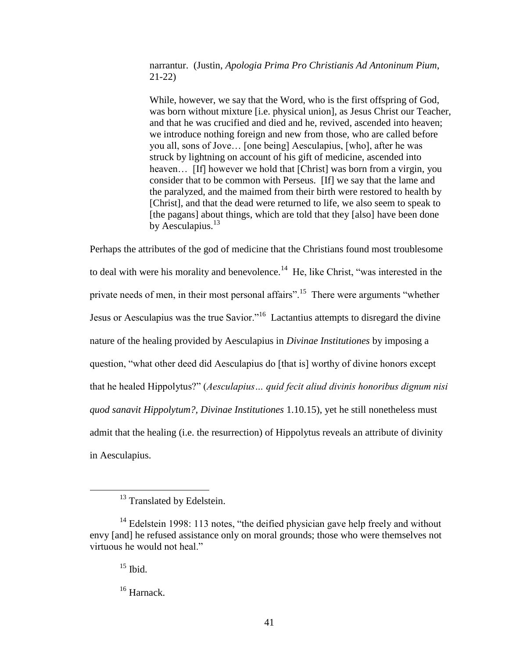narrantur. (Justin, *Apologia Prima Pro Christianis Ad Antoninum Pium*, 21-22)

While, however, we say that the Word, who is the first offspring of God, was born without mixture [i.e. physical union], as Jesus Christ our Teacher, and that he was crucified and died and he, revived, ascended into heaven; we introduce nothing foreign and new from those, who are called before you all, sons of Jove… [one being] Aesculapius, [who], after he was struck by lightning on account of his gift of medicine, ascended into heaven... [If] however we hold that [Christ] was born from a virgin, you consider that to be common with Perseus. [If] we say that the lame and the paralyzed, and the maimed from their birth were restored to health by [Christ], and that the dead were returned to life, we also seem to speak to [the pagans] about things, which are told that they [also] have been done by Aesculapius. $^{13}$ 

Perhaps the attributes of the god of medicine that the Christians found most troublesome to deal with were his morality and benevolence.<sup>14</sup> He, like Christ, "was interested in the private needs of men, in their most personal affairs".<sup>15</sup> There were arguments "whether Jesus or Aesculapius was the true Savior."<sup>16</sup> Lactantius attempts to disregard the divine nature of the healing provided by Aesculapius in *Divinae Institutiones* by imposing a question, "what other deed did Aesculapius do [that is] worthy of divine honors except that he healed Hippolytus?" (*Aesculapius… quid fecit aliud divinis honoribus dignum nisi quod sanavit Hippolytum?, Divinae Institutiones* 1.10.15), yet he still nonetheless must admit that the healing (i.e. the resurrection) of Hippolytus reveals an attribute of divinity in Aesculapius.

 $15$  Ibid.

 $\overline{a}$ 

<sup>16</sup> Harnack.

<sup>&</sup>lt;sup>13</sup> Translated by Edelstein.

<sup>&</sup>lt;sup>14</sup> Edelstein 1998: 113 notes, "the deified physician gave help freely and without envy [and] he refused assistance only on moral grounds; those who were themselves not virtuous he would not heal."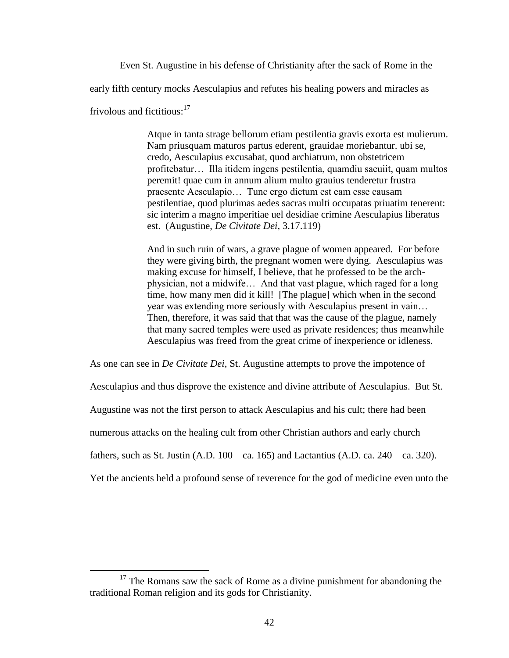Even St. Augustine in his defense of Christianity after the sack of Rome in the early fifth century mocks Aesculapius and refutes his healing powers and miracles as frivolous and fictitious: $17$ 

> Atque in tanta strage bellorum etiam pestilentia gravis exorta est mulierum. Nam priusquam maturos partus ederent, grauidae moriebantur. ubi se, credo, Aesculapius excusabat, quod archiatrum, non obstetricem profitebatur… Illa itidem ingens pestilentia, quamdiu saeuiit, quam multos peremit! quae cum in annum alium multo grauius tenderetur frustra praesente Aesculapio… Tunc ergo dictum est eam esse causam pestilentiae, quod plurimas aedes sacras multi occupatas priuatim tenerent: sic interim a magno imperitiae uel desidiae crimine Aesculapius liberatus est. (Augustine, *De Civitate Dei*, 3.17.119)

> And in such ruin of wars, a grave plague of women appeared. For before they were giving birth, the pregnant women were dying. Aesculapius was making excuse for himself, I believe, that he professed to be the archphysician, not a midwife… And that vast plague, which raged for a long time, how many men did it kill! [The plague] which when in the second year was extending more seriously with Aesculapius present in vain… Then, therefore, it was said that that was the cause of the plague, namely that many sacred temples were used as private residences; thus meanwhile Aesculapius was freed from the great crime of inexperience or idleness.

As one can see in *De Civitate Dei*, St. Augustine attempts to prove the impotence of

Aesculapius and thus disprove the existence and divine attribute of Aesculapius. But St.

Augustine was not the first person to attack Aesculapius and his cult; there had been

numerous attacks on the healing cult from other Christian authors and early church

fathers, such as St. Justin (A.D.  $100 - ca$ . 165) and Lactantius (A.D. ca.  $240 - ca$ . 320).

Yet the ancients held a profound sense of reverence for the god of medicine even unto the

 $17$  The Romans saw the sack of Rome as a divine punishment for abandoning the traditional Roman religion and its gods for Christianity.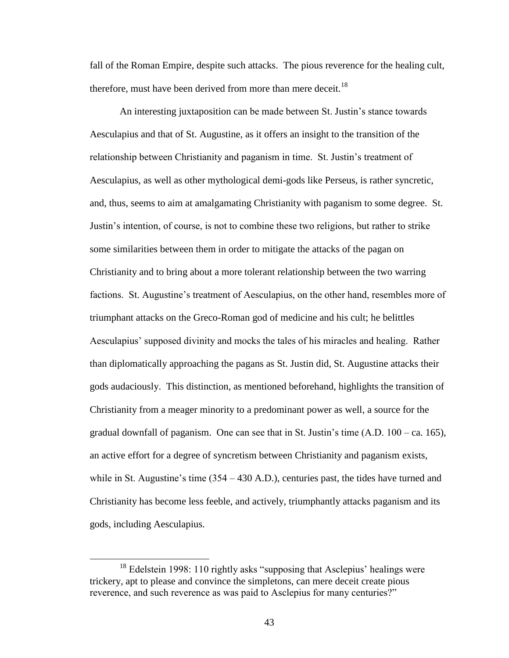fall of the Roman Empire, despite such attacks. The pious reverence for the healing cult, therefore, must have been derived from more than mere deceit.<sup>18</sup>

An interesting juxtaposition can be made between St. Justin's stance towards Aesculapius and that of St. Augustine, as it offers an insight to the transition of the relationship between Christianity and paganism in time. St. Justin"s treatment of Aesculapius, as well as other mythological demi-gods like Perseus, is rather syncretic, and, thus, seems to aim at amalgamating Christianity with paganism to some degree. St. Justin"s intention, of course, is not to combine these two religions, but rather to strike some similarities between them in order to mitigate the attacks of the pagan on Christianity and to bring about a more tolerant relationship between the two warring factions. St. Augustine's treatment of Aesculapius, on the other hand, resembles more of triumphant attacks on the Greco-Roman god of medicine and his cult; he belittles Aesculapius" supposed divinity and mocks the tales of his miracles and healing. Rather than diplomatically approaching the pagans as St. Justin did, St. Augustine attacks their gods audaciously. This distinction, as mentioned beforehand, highlights the transition of Christianity from a meager minority to a predominant power as well, a source for the gradual downfall of paganism. One can see that in St. Justin's time  $(A.D. 100 - ca. 165)$ , an active effort for a degree of syncretism between Christianity and paganism exists, while in St. Augustine's time  $(354 - 430 \text{ A.D.})$ , centuries past, the tides have turned and Christianity has become less feeble, and actively, triumphantly attacks paganism and its gods, including Aesculapius.

 $18$  Edelstein 1998: 110 rightly asks "supposing that Asclepius" healings were trickery, apt to please and convince the simpletons, can mere deceit create pious reverence, and such reverence as was paid to Asclepius for many centuries?"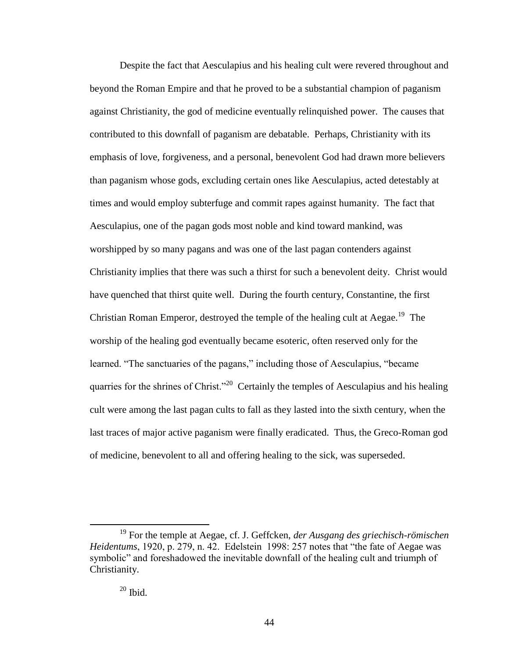Despite the fact that Aesculapius and his healing cult were revered throughout and beyond the Roman Empire and that he proved to be a substantial champion of paganism against Christianity, the god of medicine eventually relinquished power. The causes that contributed to this downfall of paganism are debatable. Perhaps, Christianity with its emphasis of love, forgiveness, and a personal, benevolent God had drawn more believers than paganism whose gods, excluding certain ones like Aesculapius, acted detestably at times and would employ subterfuge and commit rapes against humanity. The fact that Aesculapius, one of the pagan gods most noble and kind toward mankind, was worshipped by so many pagans and was one of the last pagan contenders against Christianity implies that there was such a thirst for such a benevolent deity. Christ would have quenched that thirst quite well. During the fourth century, Constantine, the first Christian Roman Emperor, destroyed the temple of the healing cult at Aegae.<sup>19</sup> The worship of the healing god eventually became esoteric, often reserved only for the learned. "The sanctuaries of the pagans," including those of Aesculapius, "became quarries for the shrines of Christ."<sup>20</sup> Certainly the temples of Aesculapius and his healing cult were among the last pagan cults to fall as they lasted into the sixth century, when the last traces of major active paganism were finally eradicated. Thus, the Greco-Roman god of medicine, benevolent to all and offering healing to the sick, was superseded.

<sup>19</sup> For the temple at Aegae, cf. J. Geffcken, *der Ausgang des griechisch-römischen Heidentums*, 1920, p. 279, n. 42. Edelstein 1998: 257 notes that "the fate of Aegae was symbolic" and foreshadowed the inevitable downfall of the healing cult and triumph of Christianity.

 $20$  Ibid.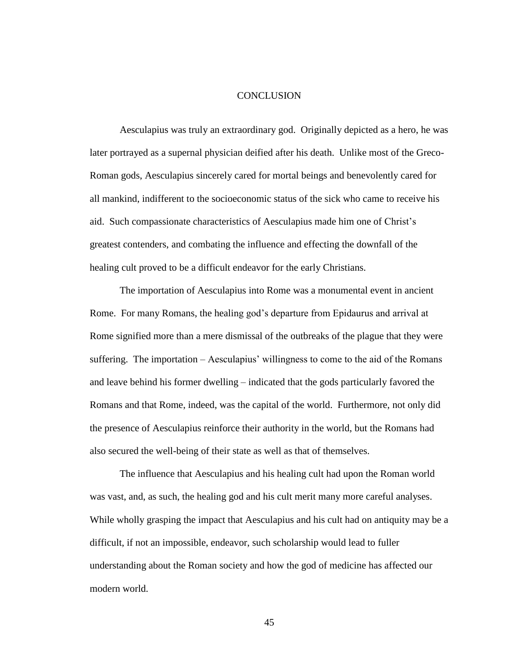#### **CONCLUSION**

Aesculapius was truly an extraordinary god. Originally depicted as a hero, he was later portrayed as a supernal physician deified after his death. Unlike most of the Greco-Roman gods, Aesculapius sincerely cared for mortal beings and benevolently cared for all mankind, indifferent to the socioeconomic status of the sick who came to receive his aid. Such compassionate characteristics of Aesculapius made him one of Christ"s greatest contenders, and combating the influence and effecting the downfall of the healing cult proved to be a difficult endeavor for the early Christians.

The importation of Aesculapius into Rome was a monumental event in ancient Rome. For many Romans, the healing god"s departure from Epidaurus and arrival at Rome signified more than a mere dismissal of the outbreaks of the plague that they were suffering. The importation – Aesculapius' willingness to come to the aid of the Romans and leave behind his former dwelling – indicated that the gods particularly favored the Romans and that Rome, indeed, was the capital of the world. Furthermore, not only did the presence of Aesculapius reinforce their authority in the world, but the Romans had also secured the well-being of their state as well as that of themselves.

The influence that Aesculapius and his healing cult had upon the Roman world was vast, and, as such, the healing god and his cult merit many more careful analyses. While wholly grasping the impact that Aesculapius and his cult had on antiquity may be a difficult, if not an impossible, endeavor, such scholarship would lead to fuller understanding about the Roman society and how the god of medicine has affected our modern world.

45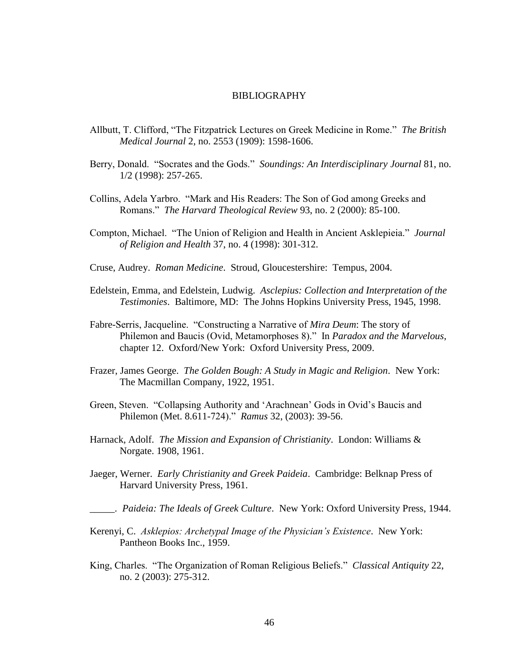#### BIBLIOGRAPHY

- Allbutt, T. Clifford, "The Fitzpatrick Lectures on Greek Medicine in Rome." *The British Medical Journal* 2, no. 2553 (1909): 1598-1606.
- Berry, Donald. "Socrates and the Gods." *Soundings: An Interdisciplinary Journal* 81, no. 1/2 (1998): 257-265.
- Collins, Adela Yarbro. "Mark and His Readers: The Son of God among Greeks and Romans." *The Harvard Theological Review* 93, no. 2 (2000): 85-100.
- Compton, Michael. "The Union of Religion and Health in Ancient Asklepieia." *Journal of Religion and Health* 37, no. 4 (1998): 301-312.
- Cruse, Audrey. *Roman Medicine*. Stroud, Gloucestershire: Tempus, 2004.
- Edelstein, Emma, and Edelstein, Ludwig. *Asclepius: Collection and Interpretation of the Testimonies*. Baltimore, MD: The Johns Hopkins University Press, 1945, 1998.
- Fabre-Serris, Jacqueline. "Constructing a Narrative of *Mira Deum*: The story of Philemon and Baucis (Ovid, Metamorphoses 8)." In *Paradox and the Marvelous*, chapter 12. Oxford/New York: Oxford University Press, 2009.
- Frazer, James George. *The Golden Bough: A Study in Magic and Religion*. New York: The Macmillan Company, 1922, 1951.
- Green, Steven. "Collapsing Authority and "Arachnean" Gods in Ovid"s Baucis and Philemon (Met. 8.611-724)." *Ramus* 32, (2003): 39-56.
- Harnack, Adolf. *The Mission and Expansion of Christianity*. London: Williams & Norgate. 1908, 1961.
- Jaeger, Werner. *Early Christianity and Greek Paideia*. Cambridge: Belknap Press of Harvard University Press, 1961.

\_\_\_\_\_. *Paideia: The Ideals of Greek Culture*. New York: Oxford University Press, 1944.

- Kerenyi, C. *Asklepios: Archetypal Image of the Physician's Existence*. New York: Pantheon Books Inc., 1959.
- King, Charles. "The Organization of Roman Religious Beliefs." *Classical Antiquity* 22, no. 2 (2003): 275-312.